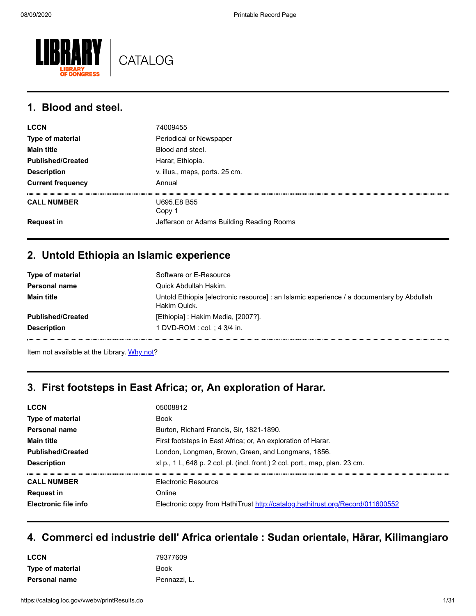

#### **1. Blood and steel.**

| <b>LCCN</b>              | 74009455                                  |
|--------------------------|-------------------------------------------|
| Type of material         | Periodical or Newspaper                   |
| <b>Main title</b>        | Blood and steel.                          |
| <b>Published/Created</b> | Harar, Ethiopia.                          |
| <b>Description</b>       | v. illus., maps, ports. 25 cm.            |
| <b>Current frequency</b> | Annual                                    |
| <b>CALL NUMBER</b>       | U695.E8 B55<br>Copy 1                     |
| <b>Request in</b>        | Jefferson or Adams Building Reading Rooms |

#### **2. Untold Ethiopia an Islamic experience**

| Type of material         | Software or E-Resource                                                                                    |
|--------------------------|-----------------------------------------------------------------------------------------------------------|
| <b>Personal name</b>     | Quick Abdullah Hakim.                                                                                     |
| <b>Main title</b>        | Untold Ethiopia [electronic resource] : an Islamic experience / a documentary by Abdullah<br>Hakim Quick. |
| <b>Published/Created</b> | [Ethiopia] : Hakim Media, [2007?].                                                                        |
| <b>Description</b>       | 1 DVD-ROM : col. ; 4 3/4 in.                                                                              |

Item not available at the Library. [Why not?](https://catalog.loc.gov/vwebv/ui/en_US/htdocs/help/accountInfo.html#acs)

#### **3. First footsteps in East Africa; or, An exploration of Harar.**

| <b>LCCN</b>                 | 05008812                                                                       |
|-----------------------------|--------------------------------------------------------------------------------|
| <b>Type of material</b>     | <b>Book</b>                                                                    |
| Personal name               | Burton, Richard Francis, Sir, 1821-1890.                                       |
| <b>Main title</b>           | First footsteps in East Africa; or, An exploration of Harar.                   |
| <b>Published/Created</b>    | London, Longman, Brown, Green, and Longmans, 1856.                             |
| <b>Description</b>          | xl p., 1 l., 648 p. 2 col. pl. (incl. front.) 2 col. port., map, plan. 23 cm.  |
| <b>CALL NUMBER</b>          | <b>Flectronic Resource</b>                                                     |
| <b>Request in</b>           | Online                                                                         |
| <b>Electronic file info</b> | Electronic copy from HathiTrust http://catalog.hathitrust.org/Record/011600552 |
|                             |                                                                                |

#### **4. Commerci ed industrie dell' Africa orientale : Sudan orientale, Hārar, Kilimangiaro**

| <b>LCCN</b>             | 79377609     |
|-------------------------|--------------|
| <b>Type of material</b> | <b>Book</b>  |
| Personal name           | Pennazzi, L. |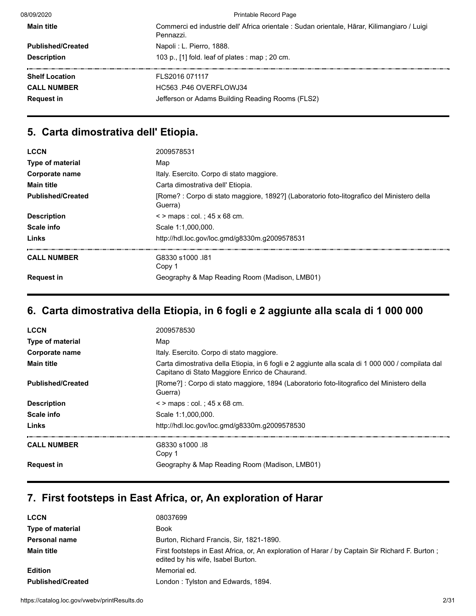| 08/09/2020               | Printable Record Page                                                                                    |  |
|--------------------------|----------------------------------------------------------------------------------------------------------|--|
| <b>Main title</b>        | Commerci ed industrie dell' Africa orientale : Sudan orientale, Hārar, Kilimangiaro / Luigi<br>Pennazzi. |  |
| <b>Published/Created</b> | Napoli: L. Pierro, 1888.                                                                                 |  |
| <b>Description</b>       | 103 p., $[1]$ fold. leaf of plates : map ; 20 cm.                                                        |  |
| <b>Shelf Location</b>    | FLS2016 071117                                                                                           |  |
| <b>CALL NUMBER</b>       | HC563 P46 OVERFLOWJ34                                                                                    |  |
| <b>Request in</b>        | Jefferson or Adams Building Reading Rooms (FLS2)                                                         |  |

## **5. Carta dimostrativa dell' Etiopia.**

| <b>LCCN</b>              | 2009578531                                                                                            |
|--------------------------|-------------------------------------------------------------------------------------------------------|
| <b>Type of material</b>  | Map                                                                                                   |
| Corporate name           | Italy. Esercito. Corpo di stato maggiore.                                                             |
| <b>Main title</b>        | Carta dimostrativa dell' Etiopia.                                                                     |
| <b>Published/Created</b> | [Rome? : Corpo di stato maggiore, 1892?] (Laboratorio foto-litografico del Ministero della<br>Guerra) |
| <b>Description</b>       | $\le$ > maps : col. ; 45 x 68 cm.                                                                     |
| Scale info               | Scale 1:1.000.000.                                                                                    |
| Links                    | http://hdl.loc.gov/loc.gmd/g8330m.g2009578531                                                         |
|                          |                                                                                                       |
| <b>CALL NUMBER</b>       | G8330 s1000 .181                                                                                      |
|                          | Copy 1                                                                                                |
| <b>Request in</b>        | Geography & Map Reading Room (Madison, LMB01)                                                         |
|                          |                                                                                                       |

# **6. Carta dimostrativa della Etiopia, in 6 fogli e 2 aggiunte alla scala di 1 000 000**

| <b>LCCN</b>              | 2009578530                                                                                                                                          |
|--------------------------|-----------------------------------------------------------------------------------------------------------------------------------------------------|
| <b>Type of material</b>  | Map                                                                                                                                                 |
| Corporate name           | Italy. Esercito. Corpo di stato maggiore.                                                                                                           |
| <b>Main title</b>        | Carta dimostrativa della Etiopia, in 6 fogli e 2 aggiunte alla scala di 1 000 000 / compilata dal<br>Capitano di Stato Maggiore Enrico de Chaurand. |
| <b>Published/Created</b> | [Rome?] : Corpo di stato maggiore, 1894 (Laboratorio foto-litografico del Ministero della<br>Guerra)                                                |
| <b>Description</b>       | $\le$ > maps : col. : 45 x 68 cm.                                                                                                                   |
| Scale info               | Scale 1:1,000,000.                                                                                                                                  |
| Links                    | http://hdl.loc.gov/loc.gmd/g8330m.g2009578530                                                                                                       |
| <b>CALL NUMBER</b>       | G8330 s1000 .18<br>Copy 1                                                                                                                           |
| <b>Request in</b>        | Geography & Map Reading Room (Madison, LMB01)                                                                                                       |

# **7. First footsteps in East Africa, or, An exploration of Harar**

| <b>LCCN</b>              | 08037699                                                                                                                              |
|--------------------------|---------------------------------------------------------------------------------------------------------------------------------------|
| Type of material         | <b>Book</b>                                                                                                                           |
| <b>Personal name</b>     | Burton, Richard Francis, Sir, 1821-1890.                                                                                              |
| <b>Main title</b>        | First footsteps in East Africa, or, An exploration of Harar / by Captain Sir Richard F. Burton;<br>edited by his wife, Isabel Burton. |
| <b>Edition</b>           | Memorial ed.                                                                                                                          |
| <b>Published/Created</b> | London: Tylston and Edwards, 1894.                                                                                                    |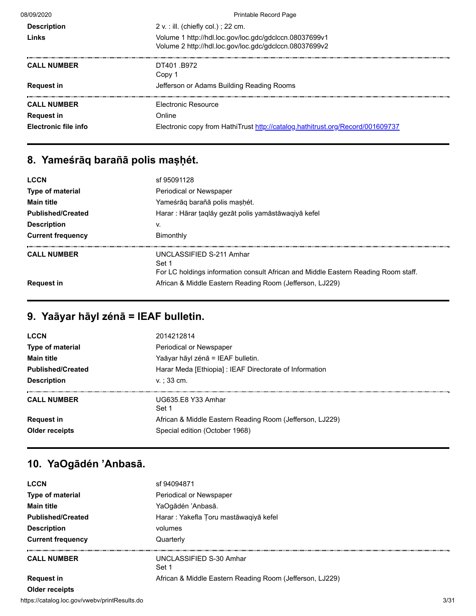| 08/09/2020           | <b>Printable Record Page</b>                                                                                     |
|----------------------|------------------------------------------------------------------------------------------------------------------|
| <b>Description</b>   | 2 v. : ill. (chiefly col.) ; 22 cm.                                                                              |
| Links                | Volume 1 http://hdl.loc.gov/loc.gdc/gdclccn.08037699v1<br>Volume 2 http://hdl.loc.gov/loc.gdc/gdclccn.08037699v2 |
| <b>CALL NUMBER</b>   | DT401 B972<br>Copy 1                                                                                             |
| <b>Request in</b>    | Jefferson or Adams Building Reading Rooms                                                                        |
| <b>CALL NUMBER</b>   | <b>Flectronic Resource</b>                                                                                       |
| <b>Request in</b>    | Online                                                                                                           |
| Electronic file info | Electronic copy from HathiTrust http://catalog.hathitrust.org/Record/001609737                                   |

# **8. Yameśrāq barañā polis maṣḥét.**

| <b>LCCN</b>              | sf 95091128                                                                                                             |
|--------------------------|-------------------------------------------------------------------------------------------------------------------------|
| Type of material         | Periodical or Newspaper                                                                                                 |
| <b>Main title</b>        | Yameśrāg barañā polis mashét.                                                                                           |
| <b>Published/Created</b> | Harar : Hārar ṭaqlāy gezāt polis yamāstāwaqiyā kefel                                                                    |
| <b>Description</b>       | v.                                                                                                                      |
| <b>Current frequency</b> | Bimonthly                                                                                                               |
| <b>CALL NUMBER</b>       | UNCLASSIFIED S-211 Amhar<br>Set 1<br>For LC holdings information consult African and Middle Eastern Reading Room staff. |
| <b>Request in</b>        | African & Middle Eastern Reading Room (Jefferson, LJ229)                                                                |

# **9. Yaāyar hāyl zénā = IEAF bulletin.**

| <b>LCCN</b>              | 2014212814                                               |
|--------------------------|----------------------------------------------------------|
| Type of material         | Periodical or Newspaper                                  |
| <b>Main title</b>        | Yaāyar hāyl zénā = IEAF bulletin.                        |
| <b>Published/Created</b> | Harar Meda [Ethiopia] : IEAF Directorate of Information  |
| <b>Description</b>       | $v: 33$ cm.                                              |
| <b>CALL NUMBER</b>       | UG635.E8 Y33 Amhar<br>Set 1                              |
| <b>Request in</b>        | African & Middle Eastern Reading Room (Jefferson, LJ229) |
| <b>Older receipts</b>    | Special edition (October 1968)                           |
|                          |                                                          |

# **10. YaOgādén 'Anbasā.**

| <b>LCCN</b>                                   | sf 94094871                                              |      |  |
|-----------------------------------------------|----------------------------------------------------------|------|--|
| <b>Type of material</b>                       | Periodical or Newspaper                                  |      |  |
| <b>Main title</b>                             | YaOgādén 'Anbasā.                                        |      |  |
| <b>Published/Created</b>                      | Harar: Yakefla Toru mastāwagiyā kefel                    |      |  |
| <b>Description</b>                            | volumes                                                  |      |  |
| <b>Current frequency</b>                      | Quarterly                                                |      |  |
| <b>CALL NUMBER</b>                            | UNCLASSIFIED S-30 Amhar<br>Set 1                         |      |  |
| <b>Request in</b>                             | African & Middle Eastern Reading Room (Jefferson, LJ229) |      |  |
| <b>Older receipts</b>                         |                                                          |      |  |
| https://catalog.loc.gov/vwebv/printResults.do |                                                          | 3/31 |  |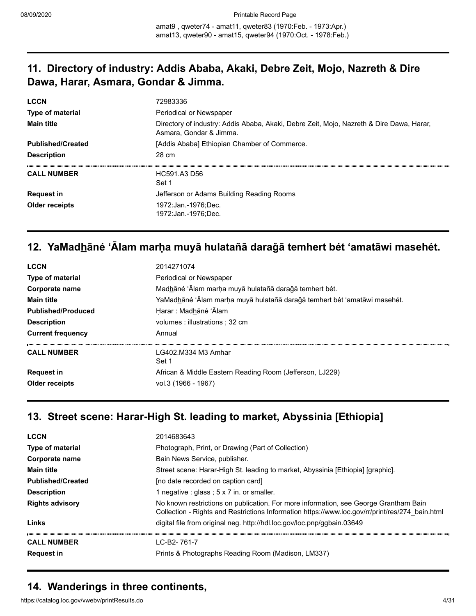amat9 , qweter74 - amat11, qweter83 (1970:Feb. - 1973:Apr.) amat13, qweter90 - amat15, qweter94 (1970:Oct. - 1978:Feb.)

#### **11. Directory of industry: Addis Ababa, Akaki, Debre Zeit, Mojo, Nazreth & Dire Dawa, Harar, Asmara, Gondar & Jimma.**

| <b>LCCN</b>              | 72983336                                                                                                            |
|--------------------------|---------------------------------------------------------------------------------------------------------------------|
| Type of material         | Periodical or Newspaper                                                                                             |
| <b>Main title</b>        | Directory of industry: Addis Ababa, Akaki, Debre Zeit, Mojo, Nazreth & Dire Dawa, Harar,<br>Asmara, Gondar & Jimma. |
| <b>Published/Created</b> | [Addis Ababa] Ethiopian Chamber of Commerce.                                                                        |
| <b>Description</b>       | 28 cm                                                                                                               |
| <b>CALL NUMBER</b>       | HC591.A3 D56<br>Set 1                                                                                               |
| <b>Request in</b>        | Jefferson or Adams Building Reading Rooms                                                                           |
| Older receipts           | 1972:Jan.-1976:Dec.<br>1972:Jan.-1976:Dec.                                                                          |

### **12. YaMadh̲āné ʻĀlam marḥa muyā hulatañā daraǧā temhert bét ʻamatāwi masehét.**

| <b>LCCN</b>               | 2014271074                                                               |
|---------------------------|--------------------------------------------------------------------------|
| <b>Type of material</b>   | Periodical or Newspaper                                                  |
| Corporate name            | Madhāné 'Ālam marha muyā hulatañā darağā temhert bét.                    |
| <b>Main title</b>         | YaMadhāné 'Ālam marņa muyā hulatañā darağā temhert bét 'amatāwi masehét. |
| <b>Published/Produced</b> | Harar : Madhāné 'Ālam                                                    |
| <b>Description</b>        | volumes : illustrations : 32 cm                                          |
| <b>Current frequency</b>  | Annual                                                                   |
| <b>CALL NUMBER</b>        | LG402.M334 M3 Amhar<br>Set 1                                             |
| <b>Request in</b>         | African & Middle Eastern Reading Room (Jefferson, LJ229)                 |
| Older receipts            | vol.3 (1966 - 1967)                                                      |
|                           |                                                                          |

#### **13. Street scene: Harar-High St. leading to market, Abyssinia [Ethiopia]**

| <b>LCCN</b>              | 2014683643                                                                                                                                                                              |
|--------------------------|-----------------------------------------------------------------------------------------------------------------------------------------------------------------------------------------|
| <b>Type of material</b>  | Photograph, Print, or Drawing (Part of Collection)                                                                                                                                      |
| Corporate name           | Bain News Service, publisher.                                                                                                                                                           |
| <b>Main title</b>        | Street scene: Harar-High St. leading to market, Abyssinia [Ethiopia] [graphic].                                                                                                         |
| <b>Published/Created</b> | [no date recorded on caption card]                                                                                                                                                      |
| <b>Description</b>       | 1 negative : glass ; $5 \times 7$ in. or smaller.                                                                                                                                       |
| <b>Rights advisory</b>   | No known restrictions on publication. For more information, see George Grantham Bain<br>Collection - Rights and Restrictions Information https://www.loc.gov/rr/print/res/274 bain.html |
| Links                    | digital file from original neg. http://hdl.loc.gov/loc.pnp/ggbain.03649                                                                                                                 |
| <b>CALL NUMBER</b>       | LC-B2-761-7                                                                                                                                                                             |
| <b>Request in</b>        | Prints & Photographs Reading Room (Madison, LM337)                                                                                                                                      |

## **14. Wanderings in three continents,**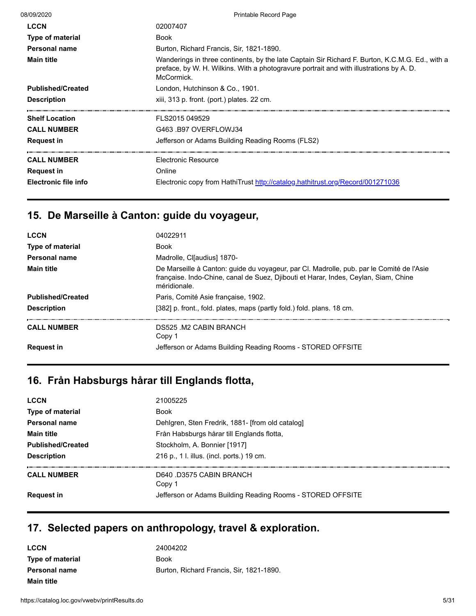| Wanderings in three continents, by the late Captain Sir Richard F. Burton, K.C.M.G. Ed., with a |
|-------------------------------------------------------------------------------------------------|
|                                                                                                 |
|                                                                                                 |
|                                                                                                 |
|                                                                                                 |
|                                                                                                 |
|                                                                                                 |
|                                                                                                 |
|                                                                                                 |
|                                                                                                 |

# **15. De Marseille à Canton: guide du voyageur,**

| <b>LCCN</b>              | 04022911                                                                                                                                                                                        |
|--------------------------|-------------------------------------------------------------------------------------------------------------------------------------------------------------------------------------------------|
| Type of material         | <b>Book</b>                                                                                                                                                                                     |
| Personal name            | Madrolle, Cl[audius] 1870-                                                                                                                                                                      |
| <b>Main title</b>        | De Marseille à Canton: guide du voyageur, par Cl. Madrolle, pub. par le Comité de l'Asie<br>française. Indo-Chine, canal de Suez, Djibouti et Harar, Indes, Ceylan, Siam, Chine<br>méridionale. |
| <b>Published/Created</b> | Paris, Comité Asie française, 1902.                                                                                                                                                             |
| <b>Description</b>       | [382] p. front., fold. plates, maps (partly fold.) fold. plans. 18 cm.                                                                                                                          |
|                          |                                                                                                                                                                                                 |
| <b>CALL NUMBER</b>       | DS525 M2 CABIN BRANCH<br>Copy 1                                                                                                                                                                 |
| <b>Request in</b>        | Jefferson or Adams Building Reading Rooms - STORED OFFSITE                                                                                                                                      |

# **16. Från Habsburgs hårar till Englands flotta,**

| <b>LCCN</b>              | 21005225                                                   |
|--------------------------|------------------------------------------------------------|
| Type of material         | <b>Book</b>                                                |
| <b>Personal name</b>     | Dehlgren, Sten Fredrik, 1881- [from old catalog]           |
| <b>Main title</b>        | Från Habsburgs hårar till Englands flotta,                 |
| <b>Published/Created</b> | Stockholm, A. Bonnier [1917]                               |
| <b>Description</b>       | 216 p., 1 l. illus. (incl. ports.) 19 cm.                  |
| <b>CALL NUMBER</b>       | D640 D3575 CABIN BRANCH<br>Copy 1                          |
| <b>Request in</b>        | Jefferson or Adams Building Reading Rooms - STORED OFFSITE |

# **17. Selected papers on anthropology, travel & exploration.**

| <b>LCCN</b>             | 24004202                                 |
|-------------------------|------------------------------------------|
| <b>Type of material</b> | <b>Book</b>                              |
| <b>Personal name</b>    | Burton, Richard Francis, Sir, 1821-1890. |
| <b>Main title</b>       |                                          |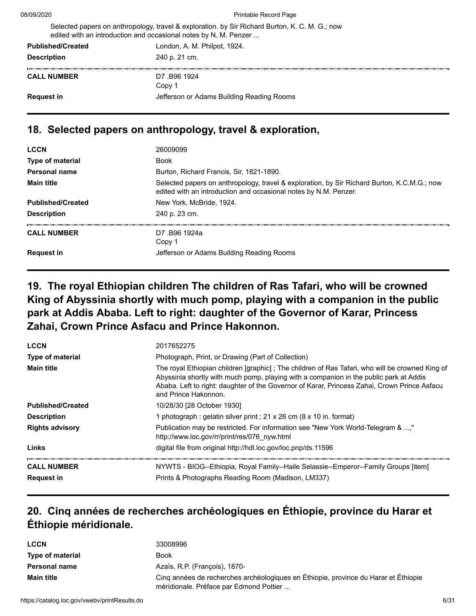08/09/2020 Printable Record Page

|                          | Selected papers on anthropology, travel & exploration. by Sir Richard Burton, K. C. M. G.; now<br>edited with an introduction and occasional notes by N. M. Penzer |
|--------------------------|--------------------------------------------------------------------------------------------------------------------------------------------------------------------|
| <b>Published/Created</b> | London, A. M. Philpot, 1924.                                                                                                                                       |
| <b>Description</b>       | 240 p. 21 cm.                                                                                                                                                      |
| <b>CALL NUMBER</b>       | D7.B96 1924                                                                                                                                                        |

# **18. Selected papers on anthropology, travel & exploration,**

Copy 1 **Request in Request in** Jefferson or Adams Building Reading Rooms

| <b>LCCN</b>              | 26009099                                                                                                                                                        |
|--------------------------|-----------------------------------------------------------------------------------------------------------------------------------------------------------------|
| Type of material         | Book                                                                                                                                                            |
| Personal name            | Burton, Richard Francis, Sir, 1821-1890.                                                                                                                        |
| <b>Main title</b>        | Selected papers on anthropology, travel & exploration, by Sir Richard Burton, K.C.M.G.; now<br>edited with an introduction and occasional notes by N.M. Penzer. |
| <b>Published/Created</b> | New York, McBride, 1924.                                                                                                                                        |
| <b>Description</b>       | 240 p. 23 cm.                                                                                                                                                   |
| <b>CALL NUMBER</b>       | D7.B96 1924a<br>Copy 1                                                                                                                                          |
| <b>Request in</b>        | Jefferson or Adams Building Reading Rooms                                                                                                                       |
|                          |                                                                                                                                                                 |

## **19. The royal Ethiopian children The children of Ras Tafari, who will be crowned King of Abyssinia shortly with much pomp, playing with a companion in the public park at Addis Ababa. Left to right: daughter of the Governor of Karar, Princess Zahai, Crown Prince Asfacu and Prince Hakonnon.**

| <b>LCCN</b>              | 2017652275                                                                                                                                                                                                                                                                                                        |
|--------------------------|-------------------------------------------------------------------------------------------------------------------------------------------------------------------------------------------------------------------------------------------------------------------------------------------------------------------|
| <b>Type of material</b>  | Photograph, Print, or Drawing (Part of Collection)                                                                                                                                                                                                                                                                |
| <b>Main title</b>        | The royal Ethiopian children [graphic]; The children of Ras Tafari, who will be crowned King of<br>Abyssinia shortly with much pomp, playing with a companion in the public park at Addis<br>Ababa. Left to right: daughter of the Governor of Karar, Princess Zahai, Crown Prince Asfacu<br>and Prince Hakonnon. |
| <b>Published/Created</b> | 10/28/30 [28 October 1930]                                                                                                                                                                                                                                                                                        |
| <b>Description</b>       | 1 photograph: gelatin silver print : 21 x 26 cm (8 x 10 in. format)                                                                                                                                                                                                                                               |
| <b>Rights advisory</b>   | Publication may be restricted. For information see "New York World-Telegram & ,"<br>http://www.loc.gov/rr/print/res/076 nyw.html                                                                                                                                                                                  |
| Links                    | digital file from original http://hdl.loc.gov/loc.pnp/ds.11596                                                                                                                                                                                                                                                    |
| <b>CALL NUMBER</b>       | NYWTS - BIOG--Ethiopia, Royal Family--Haile Selassie--Emperor--Family Groups [item]                                                                                                                                                                                                                               |
| <b>Request in</b>        | Prints & Photographs Reading Room (Madison, LM337)                                                                                                                                                                                                                                                                |

## **20. Cinq années de recherches archéologiques en Éthiopie, province du Harar et Éthiopie méridionale.**

| <b>LCCN</b>          | 33008996                                                                                                                       |
|----------------------|--------------------------------------------------------------------------------------------------------------------------------|
| Type of material     | Book                                                                                                                           |
| <b>Personal name</b> | Azaïs, R.P. (François), 1870-                                                                                                  |
| <b>Main title</b>    | Cinq années de recherches archéologiques en Éthiopie, province du Harar et Éthiopie<br>méridionale. Préface par Edmond Pottier |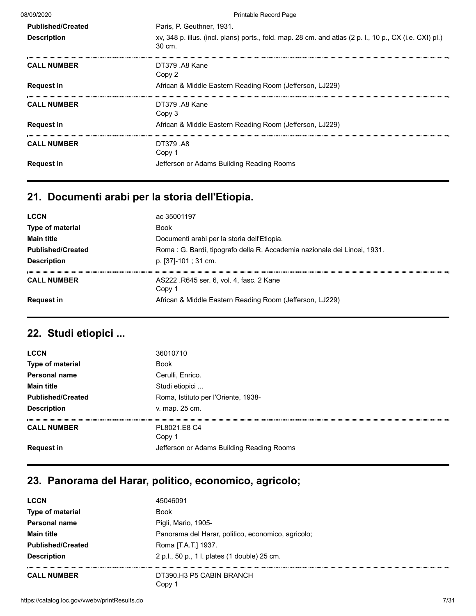| 08/09/2020               | <b>Printable Record Page</b>                                                                                      |
|--------------------------|-------------------------------------------------------------------------------------------------------------------|
| <b>Published/Created</b> | Paris, P. Geuthner, 1931.                                                                                         |
| <b>Description</b>       | xv, 348 p. illus. (incl. plans) ports., fold. map. 28 cm. and atlas (2 p. l., 10 p., CX (i.e. CXI) pl.)<br>30 cm. |
| <b>CALL NUMBER</b>       | DT379 A8 Kane<br>Copy 2                                                                                           |
| <b>Request in</b>        | African & Middle Eastern Reading Room (Jefferson, LJ229)                                                          |
| <b>CALL NUMBER</b>       | DT379 A8 Kane<br>Copy 3                                                                                           |
| <b>Request in</b>        | African & Middle Eastern Reading Room (Jefferson, LJ229)                                                          |
| <b>CALL NUMBER</b>       | DT379 .A8<br>Copy 1                                                                                               |
| <b>Request in</b>        | Jefferson or Adams Building Reading Rooms                                                                         |

# **21. Documenti arabi per la storia dell'Etiopia.**

| <b>LCCN</b><br><b>Type of material</b><br><b>Main title</b><br><b>Published/Created</b><br><b>Description</b> | ac 35001197<br><b>Book</b><br>Documenti arabi per la storia dell'Etiopia.<br>Roma : G. Bardi, tipografo della R. Accademia nazionale dei Lincei, 1931.<br>p. [37]-101; 31 cm. |
|---------------------------------------------------------------------------------------------------------------|-------------------------------------------------------------------------------------------------------------------------------------------------------------------------------|
| <b>CALL NUMBER</b>                                                                                            | AS222 .R645 ser. 6, vol. 4, fasc. 2 Kane<br>Copy 1                                                                                                                            |
| <b>Request in</b>                                                                                             | African & Middle Eastern Reading Room (Jefferson, LJ229)                                                                                                                      |

# **22. Studi etiopici ...**

| <b>LCCN</b>              | 36010710                                  |
|--------------------------|-------------------------------------------|
| <b>Type of material</b>  | <b>Book</b>                               |
| <b>Personal name</b>     | Cerulli, Enrico.                          |
| <b>Main title</b>        | Studi etiopici                            |
| <b>Published/Created</b> | Roma, Istituto per l'Oriente, 1938-       |
| <b>Description</b>       | v. map. 25 cm.                            |
| <b>CALL NUMBER</b>       | PL8021.E8 C4<br>Copy 1                    |
| <b>Request in</b>        | Jefferson or Adams Building Reading Rooms |
|                          |                                           |

# **23. Panorama del Harar, politico, economico, agricolo;**

| <b>LCCN</b>              | 45046091                                           |
|--------------------------|----------------------------------------------------|
| <b>Type of material</b>  | <b>Book</b>                                        |
| <b>Personal name</b>     | Pigli, Mario, 1905-                                |
| <b>Main title</b>        | Panorama del Harar, politico, economico, agricolo; |
| <b>Published/Created</b> | Roma [T.A.T.] 1937.                                |
| <b>Description</b>       | 2 p.l., 50 p., 1 l. plates (1 double) 25 cm.       |
| <b>CALL NUMBER</b>       | DT390.H3 P5 CABIN BRANCH                           |
|                          | Copy 1                                             |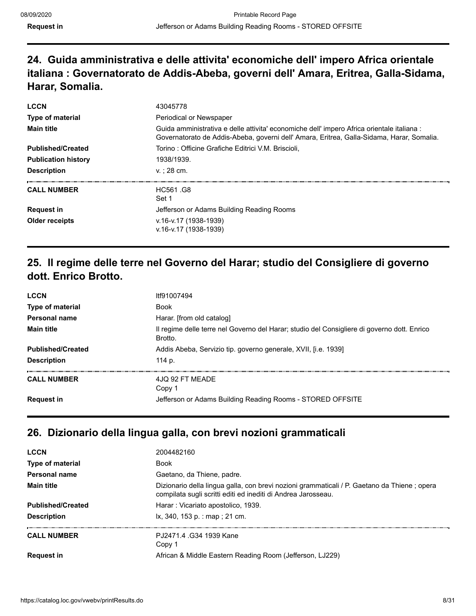## **24. Guida amministrativa e delle attivita' economiche dell' impero Africa orientale italiana : Governatorato de Addis-Abeba, governi dell' Amara, Eritrea, Galla-Sidama, Harar, Somalia.**

| <b>LCCN</b><br><b>Type of material</b> | 43045778<br>Periodical or Newspaper                                                                                                                                                     |
|----------------------------------------|-----------------------------------------------------------------------------------------------------------------------------------------------------------------------------------------|
| <b>Main title</b>                      | Guida amministrativa e delle attivita' economiche dell' impero Africa orientale italiana :<br>Governatorato de Addis-Abeba, governi dell' Amara, Eritrea, Galla-Sidama, Harar, Somalia. |
| <b>Published/Created</b>               | Torino: Officine Grafiche Editrici V.M. Briscioli,                                                                                                                                      |
| <b>Publication history</b>             | 1938/1939.                                                                                                                                                                              |
| <b>Description</b>                     | $v: 28 \, \text{cm}$ .                                                                                                                                                                  |
| <b>CALL NUMBER</b>                     | <b>HC561 G8</b><br>Set 1                                                                                                                                                                |
| <b>Request in</b>                      | Jefferson or Adams Building Reading Rooms                                                                                                                                               |
| Older receipts                         | v.16-v.17 (1938-1939)<br>v.16-v.17 (1938-1939)                                                                                                                                          |

## **25. Il regime delle terre nel Governo del Harar; studio del Consigliere di governo dott. Enrico Brotto.**

| <b>LCCN</b>              | ltf91007494                                                                                            |
|--------------------------|--------------------------------------------------------------------------------------------------------|
| <b>Type of material</b>  | <b>Book</b>                                                                                            |
| Personal name            | Harar. [from old catalog]                                                                              |
| <b>Main title</b>        | Il regime delle terre nel Governo del Harar; studio del Consigliere di governo dott. Enrico<br>Brotto. |
| <b>Published/Created</b> | Addis Abeba, Servizio tip. governo generale, XVII, [i.e. 1939]                                         |
| <b>Description</b>       | 114 p.                                                                                                 |
| <b>CALL NUMBER</b>       | 4JQ 92 FT MEADE<br>Copy 1                                                                              |
| <b>Request in</b>        | Jefferson or Adams Building Reading Rooms - STORED OFFSITE                                             |
|                          |                                                                                                        |

## **26. Dizionario della lingua galla, con brevi nozioni grammaticali**

| <b>LCCN</b>              | 2004482160                                                                                                                                                   |
|--------------------------|--------------------------------------------------------------------------------------------------------------------------------------------------------------|
| <b>Type of material</b>  | <b>Book</b>                                                                                                                                                  |
| Personal name            | Gaetano, da Thiene, padre.                                                                                                                                   |
| <b>Main title</b>        | Dizionario della lingua galla, con brevi nozioni grammaticali / P. Gaetano da Thiene; opera<br>compilata sugli scritti editi ed inediti di Andrea Jarosseau. |
| <b>Published/Created</b> | Harar: Vicariato apostolico, 1939.                                                                                                                           |
| <b>Description</b>       | $k, 340, 153 p.$ : map; 21 cm.                                                                                                                               |
| <b>CALL NUMBER</b>       | PJ2471.4 .G34 1939 Kane<br>Copy 1                                                                                                                            |
| <b>Request in</b>        | African & Middle Eastern Reading Room (Jefferson, LJ229)                                                                                                     |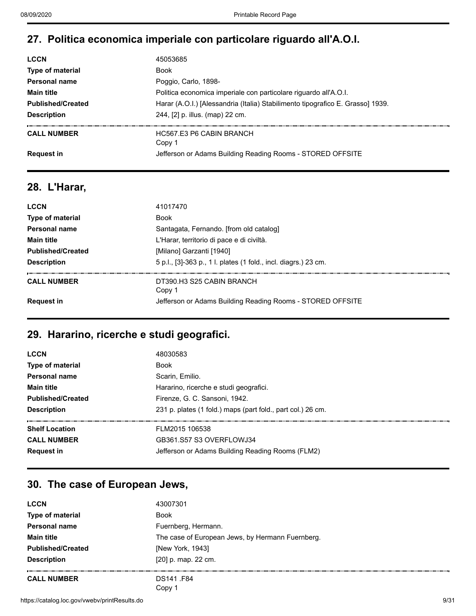## **27. Politica economica imperiale con particolare riguardo all'A.O.I.**

| <b>LCCN</b>              | 45053685                                                                       |
|--------------------------|--------------------------------------------------------------------------------|
| Type of material         | Book                                                                           |
| Personal name            | Poggio, Carlo, 1898-                                                           |
| <b>Main title</b>        | Politica economica imperiale con particolare riguardo all'A.O.I.               |
| <b>Published/Created</b> | Harar (A.O.I.) [Alessandria (Italia) Stabilimento tipografico E. Grasso] 1939. |
| <b>Description</b>       | 244, [2] p. illus. (map) 22 cm.                                                |
| <b>CALL NUMBER</b>       | HC567 F3 P6 CABIN BRANCH<br>Copy 1                                             |
| <b>Request in</b>        | Jefferson or Adams Building Reading Rooms - STORED OFFSITE                     |

#### **28. L'Harar,**

| <b>LCCN</b>              | 41017470                                                        |
|--------------------------|-----------------------------------------------------------------|
| Type of material         | <b>Book</b>                                                     |
| <b>Personal name</b>     | Santagata, Fernando. [from old catalog]                         |
| <b>Main title</b>        | L'Harar, territorio di pace e di civiltà.                       |
| <b>Published/Created</b> | [Milano] Garzanti [1940]                                        |
| <b>Description</b>       | 5 p.l., [3]-363 p., 1 l. plates (1 fold., incl. diagrs.) 23 cm. |
| <b>CALL NUMBER</b>       | DT390.H3 S25 CABIN BRANCH<br>Copy 1                             |
| <b>Request in</b>        | Jefferson or Adams Building Reading Rooms - STORED OFFSITE      |

#### **29. Hararino, ricerche e studi geografici.**

| <b>LCCN</b>              | 48030583                                                    |
|--------------------------|-------------------------------------------------------------|
| Type of material         | <b>Book</b>                                                 |
| Personal name            | Scarin, Emilio.                                             |
| <b>Main title</b>        | Hararino, ricerche e studi geografici.                      |
| <b>Published/Created</b> | Firenze, G. C. Sansoni, 1942.                               |
| <b>Description</b>       | 231 p. plates (1 fold.) maps (part fold., part col.) 26 cm. |
| <b>Shelf Location</b>    | FLM2015 106538                                              |
| <b>CALL NUMBER</b>       | GB361.S57 S3 OVERFLOWJ34                                    |
| <b>Request in</b>        | Jefferson or Adams Building Reading Rooms (FLM2)            |
|                          |                                                             |

#### **30. The case of European Jews,**

| <b>LCCN</b>              | 43007301                                         |
|--------------------------|--------------------------------------------------|
| <b>Type of material</b>  | <b>Book</b>                                      |
| Personal name            | Fuernberg, Hermann.                              |
| <b>Main title</b>        | The case of European Jews, by Hermann Fuernberg. |
| <b>Published/Created</b> | [New York, 1943]                                 |
| <b>Description</b>       | $[20]$ p. map. 22 cm.                            |
| <b>CALL NUMBER</b>       | DS141 F84<br>Copy                                |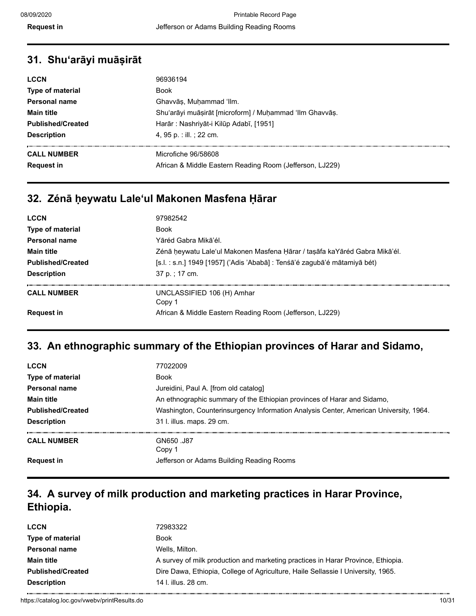| <b>Description</b><br>4, 95 p. : ill. ; 22 cm.                                                                             |  |
|----------------------------------------------------------------------------------------------------------------------------|--|
| <b>CALL NUMBER</b><br>Microfiche 96/58608<br>African & Middle Eastern Reading Room (Jefferson, LJ229)<br><b>Request in</b> |  |

#### **32. Zénā ḥeywatu Laleʻul Makonen Masfena Ḥārar**

| <b>LCCN</b>                             | 97982542                                                                                         |
|-----------------------------------------|--------------------------------------------------------------------------------------------------|
| Type of material                        | Book                                                                                             |
| Personal name                           | Yāréd Gabra Mikā'él.                                                                             |
| <b>Main title</b>                       | Zénā heywatu Lale'ul Makonen Masfena Hārar / taşāfa kaYāréd Gabra Mikā'él.                       |
| <b>Published/Created</b>                | [s.l. : s.n.] 1949 [1957] ('Adis 'Ababā] : Tenśā'é zagubā'é mātamiyā bét)                        |
| <b>Description</b>                      | 37 p. : 17 cm.                                                                                   |
| <b>CALL NUMBER</b><br><b>Request in</b> | UNCLASSIFIED 106 (H) Amhar<br>Copy 1<br>African & Middle Eastern Reading Room (Jefferson, LJ229) |

#### **33. An ethnographic summary of the Ethiopian provinces of Harar and Sidamo,**

| <b>LCCN</b>              | 77022009                                                                              |
|--------------------------|---------------------------------------------------------------------------------------|
| <b>Type of material</b>  | <b>Book</b>                                                                           |
| Personal name            | Jureidini, Paul A. [from old catalog]                                                 |
| <b>Main title</b>        | An ethnographic summary of the Ethiopian provinces of Harar and Sidamo,               |
| <b>Published/Created</b> | Washington, Counterinsurgency Information Analysis Center, American University, 1964. |
| <b>Description</b>       | 31 l. illus. maps. 29 cm.                                                             |
| <b>CALL NUMBER</b>       | GN650 J87<br>Copy 1                                                                   |
| <b>Request in</b>        | Jefferson or Adams Building Reading Rooms                                             |

## **34. A survey of milk production and marketing practices in Harar Province, Ethiopia.**

| <b>LCCN</b>              | 72983322                                                                         |
|--------------------------|----------------------------------------------------------------------------------|
| Type of material         | Book                                                                             |
| Personal name            | Wells, Milton.                                                                   |
| <b>Main title</b>        | A survey of milk production and marketing practices in Harar Province, Ethiopia. |
| <b>Published/Created</b> | Dire Dawa, Ethiopia, College of Agriculture, Haile Sellassie I University, 1965. |
| <b>Description</b>       | 14 l. illus. 28 cm.                                                              |
|                          |                                                                                  |

https://catalog.loc.gov/vwebv/printResults.do 10/31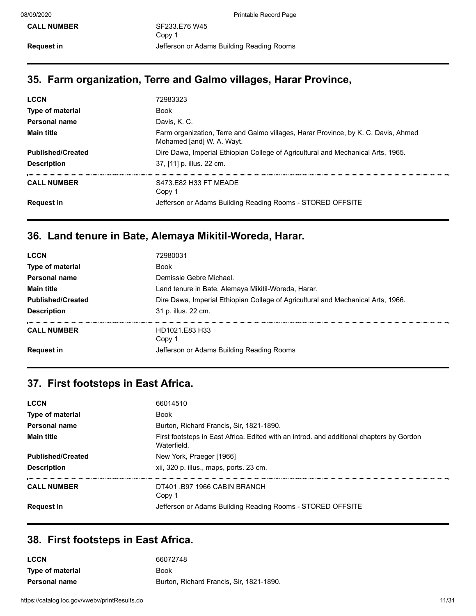## **35. Farm organization, Terre and Galmo villages, Harar Province,**

| 72983323                                                                                                        |
|-----------------------------------------------------------------------------------------------------------------|
| <b>Book</b>                                                                                                     |
| Davis, K. C.                                                                                                    |
| Farm organization, Terre and Galmo villages, Harar Province, by K. C. Davis, Ahmed<br>Mohamed [and] W. A. Wayt. |
| Dire Dawa, Imperial Ethiopian College of Agricultural and Mechanical Arts, 1965.                                |
| 37, [11] p. illus. 22 cm.                                                                                       |
| S473.E82 H33 FT MEADE<br>Copy 1                                                                                 |
| Jefferson or Adams Building Reading Rooms - STORED OFFSITE                                                      |
|                                                                                                                 |

# **36. Land tenure in Bate, Alemaya Mikitil-Woreda, Harar.**

| <b>LCCN</b>              | 72980031                                                                         |
|--------------------------|----------------------------------------------------------------------------------|
| Type of material         | <b>Book</b>                                                                      |
| <b>Personal name</b>     | Demissie Gebre Michael.                                                          |
| <b>Main title</b>        | Land tenure in Bate, Alemaya Mikitil-Woreda, Harar.                              |
| <b>Published/Created</b> | Dire Dawa, Imperial Ethiopian College of Agricultural and Mechanical Arts, 1966. |
| <b>Description</b>       | 31 p. illus. 22 cm.                                                              |
| <b>CALL NUMBER</b>       | HD1021.E83 H33<br>Copy 1                                                         |
| <b>Request in</b>        | Jefferson or Adams Building Reading Rooms                                        |
|                          |                                                                                  |

## **37. First footsteps in East Africa.**

| <b>LCCN</b>              | 66014510                                                                                                |
|--------------------------|---------------------------------------------------------------------------------------------------------|
| Type of material         | <b>Book</b>                                                                                             |
| Personal name            | Burton, Richard Francis, Sir, 1821-1890.                                                                |
| <b>Main title</b>        | First footsteps in East Africa. Edited with an introd. and additional chapters by Gordon<br>Waterfield. |
| <b>Published/Created</b> | New York, Praeger [1966]                                                                                |
| <b>Description</b>       | xii, 320 p. illus., maps, ports. 23 cm.                                                                 |
| <b>CALL NUMBER</b>       | DT401 B97 1966 CABIN BRANCH<br>Copy 1                                                                   |
| <b>Request in</b>        | Jefferson or Adams Building Reading Rooms - STORED OFFSITE                                              |

## **38. First footsteps in East Africa.**

| <b>LCCN</b>             | 66072748                                 |
|-------------------------|------------------------------------------|
| <b>Type of material</b> | Book                                     |
| <b>Personal name</b>    | Burton, Richard Francis, Sir, 1821-1890. |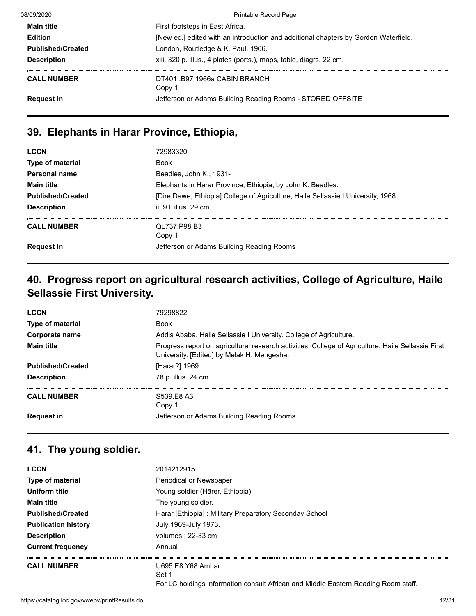| 08/09/2020               | <b>Printable Record Page</b>                                                        |
|--------------------------|-------------------------------------------------------------------------------------|
| <b>Main title</b>        | First footsteps in East Africa.                                                     |
| <b>Edition</b>           | [New ed.] edited with an introduction and additional chapters by Gordon Waterfield. |
| <b>Published/Created</b> | London, Routledge & K. Paul, 1966.                                                  |
| <b>Description</b>       | xiii, 320 p. illus., 4 plates (ports.), maps, table, diagrs. 22 cm.                 |
| <b>CALL NUMBER</b>       | DT401 B97 1966a CABIN BRANCH<br>Copy 1                                              |
| <b>Request in</b>        | Jefferson or Adams Building Reading Rooms - STORED OFFSITE                          |

#### **39. Elephants in Harar Province, Ethiopia,**

| <b>LCCN</b>              | 72983320                                                                          |
|--------------------------|-----------------------------------------------------------------------------------|
| Type of material         | <b>Book</b>                                                                       |
| Personal name            | Beadles, John K., 1931-                                                           |
| <b>Main title</b>        | Elephants in Harar Province, Ethiopia, by John K. Beadles.                        |
| <b>Published/Created</b> | [Dire Dawe, Ethiopia] College of Agriculture, Haile Sellassie I University, 1968. |
| <b>Description</b>       | ii. 9 I. illus. 29 cm.                                                            |
| <b>CALL NUMBER</b>       | QL737.P98 B3<br>Copy 1                                                            |
| <b>Request in</b>        | Jefferson or Adams Building Reading Rooms                                         |

## **40. Progress report on agricultural research activities, College of Agriculture, Haile Sellassie First University.**

| <b>LCCN</b>              | 79298822                                                                                                                                         |
|--------------------------|--------------------------------------------------------------------------------------------------------------------------------------------------|
| <b>Type of material</b>  | <b>Book</b>                                                                                                                                      |
| Corporate name           | Addis Ababa. Haile Sellassie I University. College of Agriculture.                                                                               |
| <b>Main title</b>        | Progress report on agricultural research activities, College of Agriculture, Haile Sellassie First<br>University. [Edited] by Melak H. Mengesha. |
| <b>Published/Created</b> | [Harar?] 1969.                                                                                                                                   |
| <b>Description</b>       | 78 p. illus. 24 cm.                                                                                                                              |
| <b>CALL NUMBER</b>       | S539.E8 A3<br>Copy 1                                                                                                                             |
| <b>Request in</b>        | Jefferson or Adams Building Reading Rooms                                                                                                        |

# **41. The young soldier.**

| <b>LCCN</b>                | 2014212915                                                                         |
|----------------------------|------------------------------------------------------------------------------------|
| <b>Type of material</b>    | Periodical or Newspaper                                                            |
| Uniform title              | Young soldier (Härer, Ethiopia)                                                    |
| <b>Main title</b>          | The young soldier.                                                                 |
| <b>Published/Created</b>   | Harar [Ethiopia]: Military Preparatory Seconday School                             |
| <b>Publication history</b> | July 1969-July 1973.                                                               |
| <b>Description</b>         | volumes : 22-33 cm                                                                 |
| <b>Current frequency</b>   | Annual                                                                             |
| <b>CALL NUMBER</b>         | U695.E8 Y68 Amhar                                                                  |
|                            | Set 1                                                                              |
|                            | For LC holdings information consult African and Middle Eastern Reading Room staff. |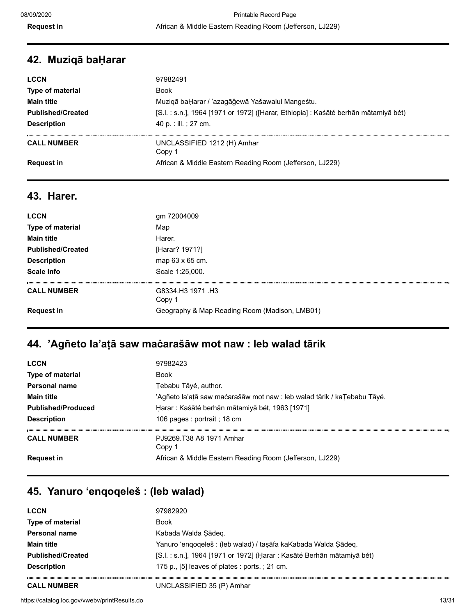### **42. Muziqā baḤarar**

| <b>LCCN</b>              | 97982491                                                                            |
|--------------------------|-------------------------------------------------------------------------------------|
| <b>Type of material</b>  | Book                                                                                |
| <b>Main title</b>        | Muziqā baḤarar / 'azagāǧewā Yašawalul Mangeśtu.                                     |
| <b>Published/Created</b> | [S.l. : s.n.], 1964 [1971 or 1972] ([Harar, Ethiopia] : Kaśāté berhān mātamiyā bét) |
| <b>Description</b>       | 40 p. : ill. : 27 cm.                                                               |
| <b>CALL NUMBER</b>       | UNCLASSIFIED 1212 (H) Amhar<br>Copy 1                                               |
| <b>Request in</b>        | African & Middle Eastern Reading Room (Jefferson, LJ229)                            |

#### **43. Harer.**

| <b>LCCN</b>              | gm 72004009                                   |
|--------------------------|-----------------------------------------------|
| Type of material         | Map                                           |
| <b>Main title</b>        | Harer.                                        |
| <b>Published/Created</b> | [Harar? 1971?]                                |
| <b>Description</b>       | map 63 x 65 cm.                               |
| Scale info               | Scale 1:25,000.                               |
|                          |                                               |
| <b>CALL NUMBER</b>       | G8334.H3 1971 H3<br>Copy 1                    |
| <b>Request in</b>        | Geography & Map Reading Room (Madison, LMB01) |

# **44. 'Agñeto la'aṭā saw maċarašāw mot naw : leb walad tārik**

| 97982423                                                                |
|-------------------------------------------------------------------------|
| Book                                                                    |
| Tebabu Tāyé, author.                                                    |
| 'Agñeto la'aṭā saw maċarašāw mot naw : leb walad tārik / kaŢebabu Tāyé. |
| Harar : Kaśāté berhān mātamiyā bét, 1963 [1971]                         |
| 106 pages : portrait ; 18 cm                                            |
| PJ9269.T38 A8 1971 Amhar<br>Copy 1                                      |
| African & Middle Eastern Reading Room (Jefferson, LJ229)                |
|                                                                         |

## **45. Yanuro ʻenqoqeleš : (leb walad)**

| <b>LCCN</b>              | 97982920                                                                |
|--------------------------|-------------------------------------------------------------------------|
| Type of material         | <b>Book</b>                                                             |
| <b>Personal name</b>     | Kabada Walda Şādeq.                                                     |
| <b>Main title</b>        | Yanuro 'enqoqeleš : (leb walad) / taṣāfa kaKabada Walda Ṣādeq.          |
| <b>Published/Created</b> | [S.l. : s.n.], 1964 [1971 or 1972] (Harar : Kasāté Berhān mātamiyā bét) |
| <b>Description</b>       | 175 p., [5] leaves of plates : ports.; 21 cm.                           |
|                          |                                                                         |

**CALL NUMBER** UNCLASSIFIED 35 (P) Amhar

https://catalog.loc.gov/vwebv/printResults.do 13/31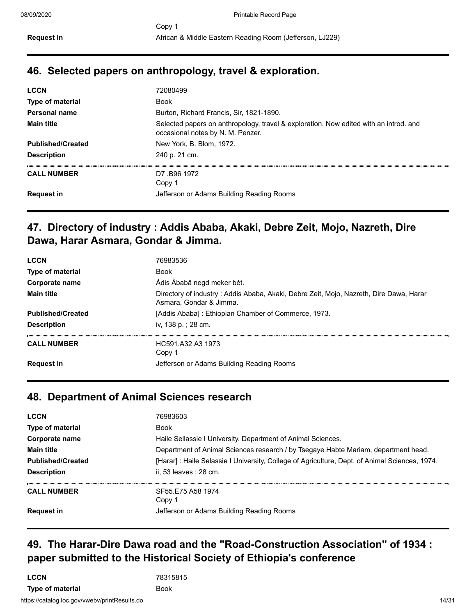#### **46. Selected papers on anthropology, travel & exploration.**

| <b>LCCN</b>              | 72080499                                                                                                                   |
|--------------------------|----------------------------------------------------------------------------------------------------------------------------|
| Type of material         | <b>Book</b>                                                                                                                |
| Personal name            | Burton, Richard Francis, Sir, 1821-1890.                                                                                   |
| <b>Main title</b>        | Selected papers on anthropology, travel & exploration. Now edited with an introd. and<br>occasional notes by N. M. Penzer. |
| <b>Published/Created</b> | New York, B. Blom, 1972.                                                                                                   |
| <b>Description</b>       | 240 p. 21 cm.                                                                                                              |
| <b>CALL NUMBER</b>       | D7.B96 1972<br>Copy 1                                                                                                      |
| <b>Request in</b>        | Jefferson or Adams Building Reading Rooms                                                                                  |
|                          |                                                                                                                            |

### **47. Directory of industry : Addis Ababa, Akaki, Debre Zeit, Mojo, Nazreth, Dire Dawa, Harar Asmara, Gondar & Jimma.**

| <b>LCCN</b>              | 76983536                                                                                                          |
|--------------------------|-------------------------------------------------------------------------------------------------------------------|
| <b>Type of material</b>  | <b>Book</b>                                                                                                       |
| Corporate name           | Ådis Åbabā negd meker bét.                                                                                        |
| <b>Main title</b>        | Directory of industry: Addis Ababa, Akaki, Debre Zeit, Mojo, Nazreth, Dire Dawa, Harar<br>Asmara, Gondar & Jimma. |
| <b>Published/Created</b> | [Addis Ababa]: Ethiopian Chamber of Commerce, 1973.                                                               |
| <b>Description</b>       | iv, 138 p.; 28 cm.                                                                                                |
| <b>CALL NUMBER</b>       | HC591 A32 A3 1973<br>Copy 1                                                                                       |
| <b>Request in</b>        | Jefferson or Adams Building Reading Rooms                                                                         |

#### **48. Department of Animal Sciences research**

| <b>LCCN</b>              | 76983603                                                                                       |
|--------------------------|------------------------------------------------------------------------------------------------|
| <b>Type of material</b>  | <b>Book</b>                                                                                    |
| Corporate name           | Haile Sellassie I University. Department of Animal Sciences.                                   |
| <b>Main title</b>        | Department of Animal Sciences research / by Tsegaye Habte Mariam, department head.             |
| <b>Published/Created</b> | [Harar] : Haile Selassie I University, College of Agriculture, Dept. of Animal Sciences, 1974. |
| <b>Description</b>       | ii. 53 leaves : 28 cm.                                                                         |
| <b>CALL NUMBER</b>       | SF55 F75 A58 1974<br>Copy 1                                                                    |
| <b>Request in</b>        | Jefferson or Adams Building Reading Rooms                                                      |

## **49. The Harar-Dire Dawa road and the "Road-Construction Association" of 1934 : paper submitted to the Historical Society of Ethiopia's conference**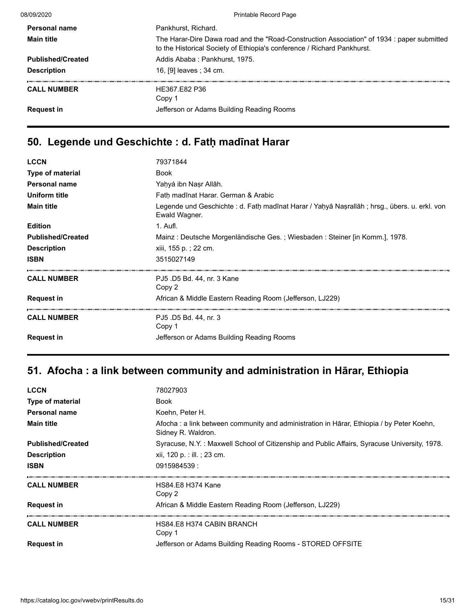08/09/2020 Printable Record Page

| <b>Personal name</b>     | Pankhurst, Richard.                                                                                                                                                   |
|--------------------------|-----------------------------------------------------------------------------------------------------------------------------------------------------------------------|
| <b>Main title</b>        | The Harar-Dire Dawa road and the "Road-Construction Association" of 1934 : paper submitted<br>to the Historical Society of Ethiopia's conference / Richard Pankhurst. |
| <b>Published/Created</b> | Addis Ababa: Pankhurst, 1975.                                                                                                                                         |
| <b>Description</b>       | 16, [9] leaves ; 34 cm.                                                                                                                                               |
| <b>CALL NUMBER</b>       | HE367.E82 P36<br>Copy 1                                                                                                                                               |
| <b>Request in</b>        | Jefferson or Adams Building Reading Rooms                                                                                                                             |
|                          |                                                                                                                                                                       |

# **50. Legende und Geschichte : d. Fatḥ madīnat Harar**

| <b>LCCN</b>              | 79371844                                                                                                       |
|--------------------------|----------------------------------------------------------------------------------------------------------------|
| <b>Type of material</b>  | <b>Book</b>                                                                                                    |
| <b>Personal name</b>     | Yahyá ibn Nasr Allāh.                                                                                          |
| Uniform title            | Fath madīnat Harar. German & Arabic                                                                            |
| <b>Main title</b>        | Legende und Geschichte : d. Fath madīnat Harar / Yahyā Nasrallāh ; hrsg., übers. u. erkl. von<br>Ewald Wagner. |
| <b>Edition</b>           | 1. Aufl.                                                                                                       |
| <b>Published/Created</b> | Mainz: Deutsche Morgenländische Ges.; Wiesbaden: Steiner [in Komm.], 1978.                                     |
| <b>Description</b>       | xiii, 155 p.; 22 cm.                                                                                           |
| <b>ISBN</b>              | 3515027149                                                                                                     |
| <b>CALL NUMBER</b>       | PJ5 .D5 Bd. 44, nr. 3 Kane<br>Copy 2                                                                           |
| <b>Request in</b>        | African & Middle Eastern Reading Room (Jefferson, LJ229)                                                       |
| <b>CALL NUMBER</b>       | PJ5 .D5 Bd. 44, nr. 3<br>Copy 1                                                                                |
| <b>Request in</b>        | Jefferson or Adams Building Reading Rooms                                                                      |

# **51. Afocha : a link between community and administration in Hārar, Ethiopia**

| <b>LCCN</b>              | 78027903                                                                                                        |
|--------------------------|-----------------------------------------------------------------------------------------------------------------|
| Type of material         | <b>Book</b>                                                                                                     |
| <b>Personal name</b>     | Koehn, Peter H.                                                                                                 |
| <b>Main title</b>        | Afocha : a link between community and administration in Hārar, Ethiopia / by Peter Koehn,<br>Sidney R. Waldron. |
| <b>Published/Created</b> | Syracuse, N.Y. : Maxwell School of Citizenship and Public Affairs, Syracuse University, 1978.                   |
| <b>Description</b>       | xii, 120 p. : ill. ; 23 cm.                                                                                     |
| <b>ISBN</b>              | 0915984539:                                                                                                     |
| <b>CALL NUMBER</b>       | HS84.E8 H374 Kane<br>Copy 2                                                                                     |
| <b>Request in</b>        | African & Middle Eastern Reading Room (Jefferson, LJ229)                                                        |
| <b>CALL NUMBER</b>       | HS84.E8 H374 CABIN BRANCH<br>Copy 1                                                                             |
| <b>Request in</b>        | Jefferson or Adams Building Reading Rooms - STORED OFFSITE                                                      |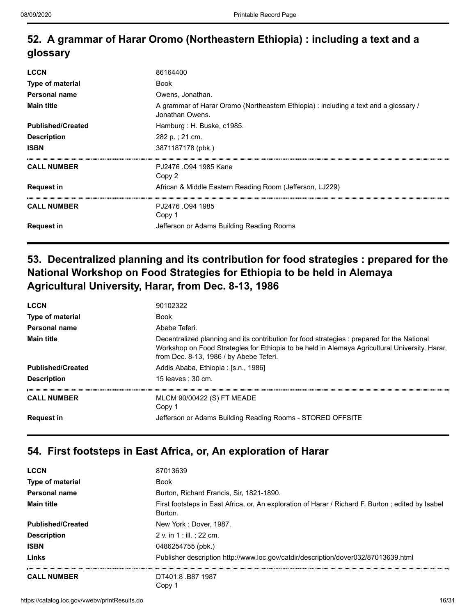## **52. A grammar of Harar Oromo (Northeastern Ethiopia) : including a text and a glossary**

| <b>LCCN</b>              | 86164400                                                                                                |
|--------------------------|---------------------------------------------------------------------------------------------------------|
| Type of material         | <b>Book</b>                                                                                             |
| Personal name            | Owens, Jonathan.                                                                                        |
| <b>Main title</b>        | A grammar of Harar Oromo (Northeastern Ethiopia) : including a text and a glossary /<br>Jonathan Owens. |
| <b>Published/Created</b> | Hamburg: H. Buske, c1985.                                                                               |
| <b>Description</b>       | 282 p.; 21 cm.                                                                                          |
| <b>ISBN</b>              | 3871187178 (pbk.)                                                                                       |
| <b>CALL NUMBER</b>       | PJ2476 .094 1985 Kane<br>Copy 2                                                                         |
| <b>Request in</b>        | African & Middle Eastern Reading Room (Jefferson, LJ229)                                                |
| <b>CALL NUMBER</b>       | PJ2476 .094 1985<br>Copy 1                                                                              |
| <b>Request in</b>        | Jefferson or Adams Building Reading Rooms                                                               |

## **53. Decentralized planning and its contribution for food strategies : prepared for the National Workshop on Food Strategies for Ethiopia to be held in Alemaya Agricultural University, Harar, from Dec. 8-13, 1986**

| <b>LCCN</b>              | 90102322                                                                                                                                                                                                                                 |
|--------------------------|------------------------------------------------------------------------------------------------------------------------------------------------------------------------------------------------------------------------------------------|
| <b>Type of material</b>  | <b>Book</b>                                                                                                                                                                                                                              |
| Personal name            | Abebe Teferi.                                                                                                                                                                                                                            |
| <b>Main title</b>        | Decentralized planning and its contribution for food strategies : prepared for the National<br>Workshop on Food Strategies for Ethiopia to be held in Alemaya Agricultural University, Harar,<br>from Dec. 8-13, 1986 / by Abebe Teferi. |
| <b>Published/Created</b> | Addis Ababa, Ethiopia : [s.n., 1986]                                                                                                                                                                                                     |
| <b>Description</b>       | 15 leaves : 30 cm.                                                                                                                                                                                                                       |
| <b>CALL NUMBER</b>       | MLCM 90/00422 (S) FT MEADE<br>Copy 1                                                                                                                                                                                                     |
| <b>Request in</b>        | Jefferson or Adams Building Reading Rooms - STORED OFFSITE                                                                                                                                                                               |

#### **54. First footsteps in East Africa, or, An exploration of Harar**

| <b>LCCN</b>              | 87013639                                                                                                     |
|--------------------------|--------------------------------------------------------------------------------------------------------------|
| <b>Type of material</b>  | <b>Book</b>                                                                                                  |
| <b>Personal name</b>     | Burton, Richard Francis, Sir, 1821-1890.                                                                     |
| <b>Main title</b>        | First footsteps in East Africa, or, An exploration of Harar / Richard F. Burton; edited by Isabel<br>Burton. |
| <b>Published/Created</b> | New York: Dover, 1987.                                                                                       |
| <b>Description</b>       | 2 v. in 1 : ill. : 22 cm.                                                                                    |
| <b>ISBN</b>              | 0486254755 (pbk.)                                                                                            |
| Links                    | Publisher description http://www.loc.gov/catdir/description/dover032/87013639.html                           |
| <b>CALL NUMBER</b>       | DT401.8 B87 1987<br>Copy 1                                                                                   |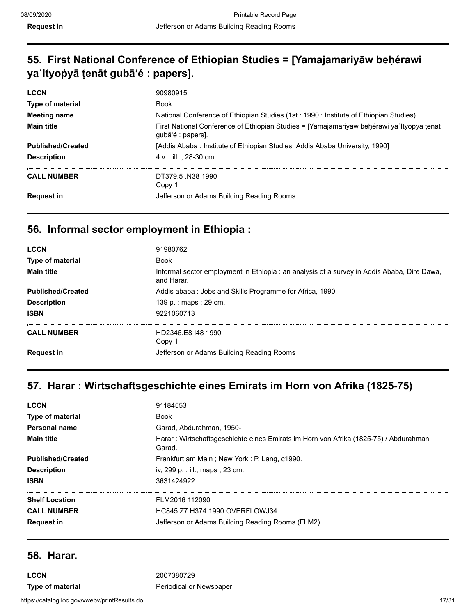## **55. First National Conference of Ethiopian Studies = [Yamajamariyāw beḥérawi yaʾItyoṗyā ṭenāt gubāʻé : papers].**

| <b>LCCN</b>              | 90980915                                                                                                       |
|--------------------------|----------------------------------------------------------------------------------------------------------------|
| <b>Type of material</b>  | <b>Book</b>                                                                                                    |
| Meeting name             | National Conference of Ethiopian Studies (1st: 1990 : Institute of Ethiopian Studies)                          |
| <b>Main title</b>        | First National Conference of Ethiopian Studies = [Yamajamariyāw behérawi ya Ityopyā tenāt<br>qubā'é : papers]. |
| <b>Published/Created</b> | [Addis Ababa : Institute of Ethiopian Studies, Addis Ababa University, 1990]                                   |
| <b>Description</b>       | 4 v. : ill. : 28-30 cm.                                                                                        |
| <b>CALL NUMBER</b>       | DT379.5 N38 1990<br>Copy 1                                                                                     |
| <b>Request in</b>        | Jefferson or Adams Building Reading Rooms                                                                      |

### **56. Informal sector employment in Ethiopia :**

| <b>LCCN</b>              | 91980762                                                                                                  |
|--------------------------|-----------------------------------------------------------------------------------------------------------|
| <b>Type of material</b>  | <b>Book</b>                                                                                               |
| <b>Main title</b>        | Informal sector employment in Ethiopia : an analysis of a survey in Addis Ababa, Dire Dawa,<br>and Harar. |
| <b>Published/Created</b> | Addis ababa: Jobs and Skills Programme for Africa, 1990.                                                  |
| <b>Description</b>       | 139 p. : maps ; 29 cm.                                                                                    |
| <b>ISBN</b>              | 9221060713                                                                                                |
| <b>CALL NUMBER</b>       | HD2346.E8 148 1990<br>Copy 1                                                                              |
| <b>Request in</b>        | Jefferson or Adams Building Reading Rooms                                                                 |

# **57. Harar : Wirtschaftsgeschichte eines Emirats im Horn von Afrika (1825-75)**

| <b>LCCN</b>              | 91184553                                                                                        |
|--------------------------|-------------------------------------------------------------------------------------------------|
| <b>Type of material</b>  | <b>Book</b>                                                                                     |
| Personal name            | Garad, Abdurahman, 1950-                                                                        |
| <b>Main title</b>        | Harar : Wirtschaftsgeschichte eines Emirats im Horn von Afrika (1825-75) / Abdurahman<br>Garad. |
| <b>Published/Created</b> | Frankfurt am Main; New York: P. Lang, c1990.                                                    |
| <b>Description</b>       | iv, 299 p. : ill., maps ; 23 cm.                                                                |
| <b>ISBN</b>              | 3631424922                                                                                      |
| <b>Shelf Location</b>    | FLM2016 112090                                                                                  |
| <b>CALL NUMBER</b>       | HC845 77 H374 1990 OVERFLOWJ34                                                                  |
| <b>Request in</b>        | Jefferson or Adams Building Reading Rooms (FLM2)                                                |
|                          |                                                                                                 |

#### **58. Harar.**

**LCCN** 2007380729

**Type of material example 3 and Type of material example 2 and Periodical or Newspaper**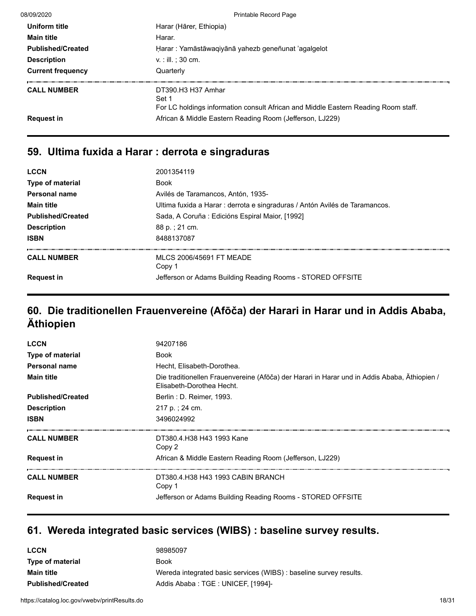| 08/09/2020               | Printable Record Page                                                                                             |
|--------------------------|-------------------------------------------------------------------------------------------------------------------|
| Uniform title            | Harar (Hārer, Ethiopia)                                                                                           |
| <b>Main title</b>        | Harar.                                                                                                            |
| <b>Published/Created</b> | Harar: Yamāstāwaqiyānā yahezb geneñunat 'agalgelot                                                                |
| <b>Description</b>       | $v_{\cdot}$ : ill. : 30 cm.                                                                                       |
| <b>Current frequency</b> | Quarterly                                                                                                         |
| <b>CALL NUMBER</b>       | DT390.H3 H37 Amhar<br>Set 1<br>For LC holdings information consult African and Middle Eastern Reading Room staff. |
| <b>Request in</b>        | African & Middle Eastern Reading Room (Jefferson, LJ229)                                                          |

# **59. Ultima fuxida a Harar : derrota e singraduras**

| <b>LCCN</b>              | 2001354119                                                                  |
|--------------------------|-----------------------------------------------------------------------------|
| <b>Type of material</b>  | <b>Book</b>                                                                 |
| Personal name            | Avilés de Taramancos, Antón, 1935-                                          |
| <b>Main title</b>        | Ultima fuxida a Harar : derrota e singraduras / Antón Avilés de Taramancos. |
| <b>Published/Created</b> | Sada, A Coruña : Edicións Espiral Maior, [1992]                             |
| <b>Description</b>       | 88 p. : 21 cm.                                                              |
| <b>ISBN</b>              | 8488137087                                                                  |
| <b>CALL NUMBER</b>       | MLCS 2006/45691 FT MEADE<br>Copy 1                                          |
| <b>Request in</b>        | Jefferson or Adams Building Reading Rooms - STORED OFFSITE                  |
|                          |                                                                             |

## **60. Die traditionellen Frauenvereine (Afōča) der Harari in Harar und in Addis Ababa, Äthiopien**

| <b>LCCN</b>              | 94207186                                                                                                                  |
|--------------------------|---------------------------------------------------------------------------------------------------------------------------|
| <b>Type of material</b>  | <b>Book</b>                                                                                                               |
| Personal name            | Hecht, Elisabeth-Dorothea.                                                                                                |
| <b>Main title</b>        | Die traditionellen Frauenvereine (Afōča) der Harari in Harar und in Addis Ababa, Äthiopien /<br>Elisabeth-Dorothea Hecht. |
| <b>Published/Created</b> | Berlin : D. Reimer, 1993.                                                                                                 |
| <b>Description</b>       | 217 p.; 24 cm.                                                                                                            |
| <b>ISBN</b>              | 3496024992                                                                                                                |
| <b>CALL NUMBER</b>       | DT380.4.H38 H43 1993 Kane<br>Copy 2                                                                                       |
| <b>Request in</b>        | African & Middle Eastern Reading Room (Jefferson, LJ229)                                                                  |
| <b>CALL NUMBER</b>       | DT380.4.H38 H43 1993 CABIN BRANCH<br>Copy 1                                                                               |
| <b>Request in</b>        | Jefferson or Adams Building Reading Rooms - STORED OFFSITE                                                                |

#### **61. Wereda integrated basic services (WIBS) : baseline survey results.**

| <b>LCCN</b>              | 98985097                                                           |
|--------------------------|--------------------------------------------------------------------|
| <b>Type of material</b>  | Book                                                               |
| <b>Main title</b>        | Wereda integrated basic services (WIBS) : baseline survey results. |
| <b>Published/Created</b> | Addis Ababa: TGE: UNICEF, [1994]-                                  |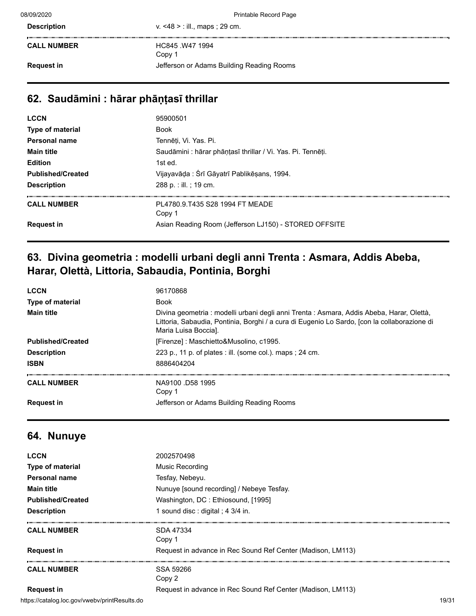| <b>Description</b> | v. $<48$ > : ill., maps ; 29 cm. |
|--------------------|----------------------------------|
|                    |                                  |

**CALL NUMBER** HC845 .W47 1994 Copy 1 **Request in Request in** Jefferson or Adams Building Reading Rooms

#### **62. Saudāmini : hārar phāṇṭasī thrillar**

| <b>LCCN</b>              | 95900501                                                    |
|--------------------------|-------------------------------------------------------------|
| Type of material         | <b>Book</b>                                                 |
| <b>Personal name</b>     | Tennēti, Vi. Yas. Pi.                                       |
| <b>Main title</b>        | Saudāmini : hārar phāṇṭasī thrillar / Vi. Yas. Pi. Tennēṭi. |
| <b>Edition</b>           | 1st ed.                                                     |
| <b>Published/Created</b> | Vijayavāda: Śrī Gāyatrī Pablikēsans, 1994.                  |
| <b>Description</b>       | 288 p. : ill. ; 19 cm.                                      |
| <b>CALL NUMBER</b>       | PL4780.9.T435 S28 1994 FT MEADE<br>Copy 1                   |
| <b>Request in</b>        | Asian Reading Room (Jefferson LJ150) - STORED OFFSITE       |
|                          |                                                             |

### **63. Divina geometria : modelli urbani degli anni Trenta : Asmara, Addis Abeba, Harar, Olettà, Littoria, Sabaudia, Pontinia, Borghi**

| <b>LCCN</b>              | 96170868                                                                                                                                                                                                          |
|--------------------------|-------------------------------------------------------------------------------------------------------------------------------------------------------------------------------------------------------------------|
| Type of material         | <b>Book</b>                                                                                                                                                                                                       |
| <b>Main title</b>        | Divina geometria : modelli urbani degli anni Trenta : Asmara, Addis Abeba, Harar, Olettà,<br>Littoria, Sabaudia, Pontinia, Borghi / a cura di Eugenio Lo Sardo, [con la collaborazione di<br>Maria Luisa Boccial. |
| <b>Published/Created</b> | [Firenze]: Maschietto&Musolino, c1995.                                                                                                                                                                            |
| <b>Description</b>       | 223 p., 11 p. of plates : ill. (some col.). maps ; 24 cm.                                                                                                                                                         |
| <b>ISBN</b>              | 8886404204                                                                                                                                                                                                        |
| <b>CALL NUMBER</b>       | NA9100 D58 1995<br>Copy 1                                                                                                                                                                                         |
| <b>Request in</b>        | Jefferson or Adams Building Reading Rooms                                                                                                                                                                         |

#### **64. Nunuye**

| <b>LCCN</b>                                   | 2002570498                                                  |       |
|-----------------------------------------------|-------------------------------------------------------------|-------|
| <b>Type of material</b>                       | Music Recording                                             |       |
| Personal name                                 | Tesfay, Nebeyu.                                             |       |
| <b>Main title</b>                             | Nunuye [sound recording] / Nebeye Tesfay.                   |       |
| <b>Published/Created</b>                      | Washington, DC: Ethiosound, [1995]                          |       |
| <b>Description</b>                            | 1 sound disc : digital ; 4 3/4 in.                          |       |
| <b>CALL NUMBER</b>                            | SDA 47334<br>Copy 1                                         |       |
| <b>Request in</b>                             | Request in advance in Rec Sound Ref Center (Madison, LM113) |       |
| <b>CALL NUMBER</b>                            | SSA 59266<br>Copy 2                                         |       |
| <b>Request in</b>                             | Request in advance in Rec Sound Ref Center (Madison, LM113) |       |
| https://catalog.loc.gov/vwebv/printResults.do |                                                             | 19/31 |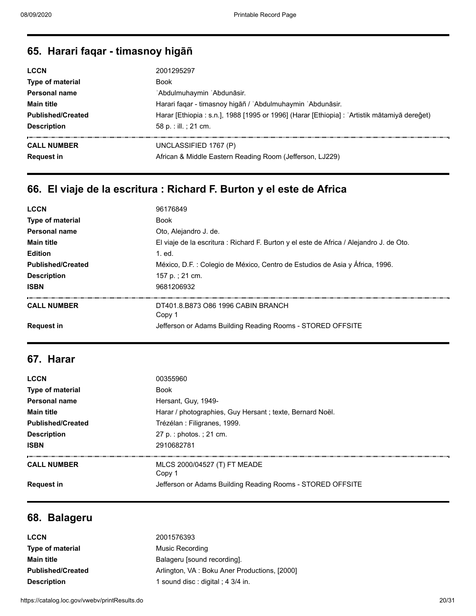#### **65. Harari faqar - timasnoy higāñ**

| <b>LCCN</b>              | 2001295297                                                                                   |
|--------------------------|----------------------------------------------------------------------------------------------|
| <b>Type of material</b>  | <b>Book</b>                                                                                  |
| Personal name            | 'Abdulmuhaymin 'Abdunāsir.                                                                   |
| <b>Main title</b>        | Harari faqar - timasnoy higāñ / 'Abdulmuhaymin 'Abdunāsir.                                   |
| <b>Published/Created</b> | Harar [Ethiopia : s.n.], 1988 [1995 or 1996] (Harar [Ethiopia] : 'Artistik mātamiyā dereğet) |
| <b>Description</b>       | 58 p. : ill. ; 21 cm.                                                                        |
| <b>CALL NUMBER</b>       | UNCLASSIFIED 1767 (P)                                                                        |
| <b>Request in</b>        | African & Middle Eastern Reading Room (Jefferson, LJ229)                                     |

# **66. El viaje de la escritura : Richard F. Burton y el este de Africa**

| <b>LCCN</b>              | 96176849                                                                                |
|--------------------------|-----------------------------------------------------------------------------------------|
| Type of material         | <b>Book</b>                                                                             |
| <b>Personal name</b>     | Oto, Alejandro J. de.                                                                   |
| <b>Main title</b>        | El viaje de la escritura : Richard F. Burton y el este de Africa / Alejandro J. de Oto. |
| <b>Edition</b>           | 1. ed.                                                                                  |
| <b>Published/Created</b> | México, D.F. : Colegio de México, Centro de Estudios de Asia y África, 1996.            |
| <b>Description</b>       | 157 p.; 21 cm.                                                                          |
| <b>ISBN</b>              | 9681206932                                                                              |
| <b>CALL NUMBER</b>       | DT401.8.B873 O86 1996 CABIN BRANCH<br>Copy 1                                            |
| <b>Request in</b>        | Jefferson or Adams Building Reading Rooms - STORED OFFSITE                              |

#### **67. Harar**

| <b>LCCN</b>              | 00355960                                                   |
|--------------------------|------------------------------------------------------------|
| Type of material         | <b>Book</b>                                                |
| Personal name            | Hersant, Guy, 1949-                                        |
| <b>Main title</b>        | Harar / photographies, Guy Hersant; texte, Bernard Noël.   |
| <b>Published/Created</b> | Trézélan : Filigranes, 1999.                               |
| <b>Description</b>       | 27 p. : photos. ; 21 cm.                                   |
| <b>ISBN</b>              | 2910682781                                                 |
| <b>CALL NUMBER</b>       | MLCS 2000/04527 (T) FT MEADE<br>Copy 1                     |
| <b>Request in</b>        | Jefferson or Adams Building Reading Rooms - STORED OFFSITE |

#### **68. Balageru**

| <b>LCCN</b>              | 2001576393                                   |
|--------------------------|----------------------------------------------|
| <b>Type of material</b>  | Music Recording                              |
| <b>Main title</b>        | Balageru [sound recording].                  |
| <b>Published/Created</b> | Arlington, VA: Boku Aner Productions, [2000] |
| <b>Description</b>       | 1 sound disc: digital; 4 3/4 in.             |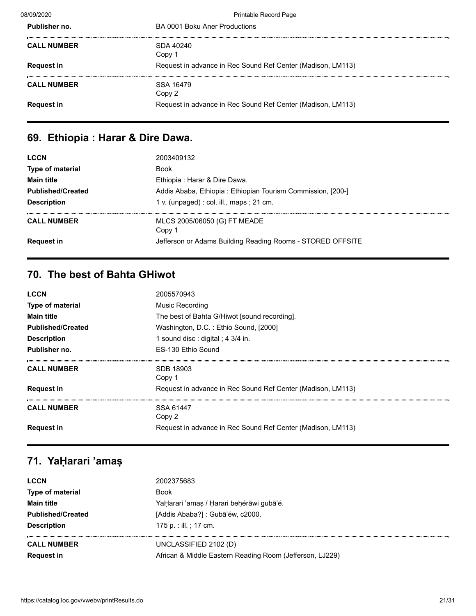| 08/09/2020         | <b>Printable Record Page</b>                                |
|--------------------|-------------------------------------------------------------|
| Publisher no.      | BA 0001 Boku Aner Productions                               |
| <b>CALL NUMBER</b> | SDA 40240<br>Copy 1                                         |
| <b>Request in</b>  | Request in advance in Rec Sound Ref Center (Madison, LM113) |
| <b>CALL NUMBER</b> | SSA 16479<br>Copy 2                                         |
| <b>Request in</b>  | Request in advance in Rec Sound Ref Center (Madison, LM113) |
|                    |                                                             |

# **69. Ethiopia : Harar & Dire Dawa.**

| <b>LCCN</b>              | 2003409132                                                  |
|--------------------------|-------------------------------------------------------------|
| Type of material         | <b>Book</b>                                                 |
| <b>Main title</b>        | Ethiopia : Harar & Dire Dawa.                               |
| <b>Published/Created</b> | Addis Ababa, Ethiopia: Ethiopian Tourism Commission, [200-] |
| <b>Description</b>       | 1 v. (unpaged) : col. ill., maps ; 21 cm.                   |
| <b>CALL NUMBER</b>       | MLCS 2005/06050 (G) FT MEADE<br>Copy 1                      |
| <b>Request in</b>        | Jefferson or Adams Building Reading Rooms - STORED OFFSITE  |

# **70. The best of Bahta GHiwot**

| <b>LCCN</b>              | 2005570943                                                  |
|--------------------------|-------------------------------------------------------------|
| <b>Type of material</b>  | Music Recording                                             |
| <b>Main title</b>        | The best of Bahta G/Hiwot [sound recording].                |
| <b>Published/Created</b> | Washington, D.C.: Ethio Sound, [2000]                       |
| <b>Description</b>       | 1 sound disc : digital ; 4 $3/4$ in.                        |
| Publisher no.            | ES-130 Ethio Sound                                          |
| <b>CALL NUMBER</b>       | SDB 18903<br>Copy 1                                         |
| <b>Request in</b>        | Request in advance in Rec Sound Ref Center (Madison, LM113) |
| <b>CALL NUMBER</b>       | SSA 61447<br>Copy 2                                         |
| <b>Request in</b>        | Request in advance in Rec Sound Ref Center (Madison, LM113) |

# **71. YaḤarari 'amaṣ**

| <b>LCCN</b>              | 2002375683                                               |
|--------------------------|----------------------------------------------------------|
| Type of material         | Book                                                     |
| <b>Main title</b>        | YaḤarari 'amaṣ / Ḥarari beḥérāwi gubā'é.                 |
| <b>Published/Created</b> | [Addis Ababa?]: Gubā'éw, c2000.                          |
| <b>Description</b>       | 175 p. : ill. ; 17 cm.                                   |
| <b>CALL NUMBER</b>       | UNCLASSIFIED 2102 (D)                                    |
| <b>Request in</b>        | African & Middle Eastern Reading Room (Jefferson, LJ229) |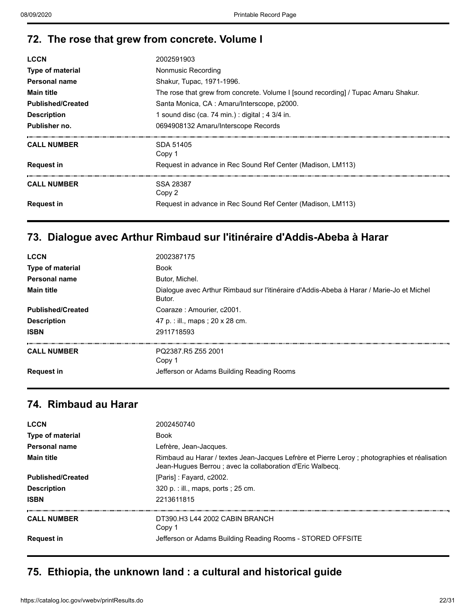## **72. The rose that grew from concrete. Volume I**

| <b>LCCN</b>              | 2002591903                                                                         |
|--------------------------|------------------------------------------------------------------------------------|
| <b>Type of material</b>  | Nonmusic Recording                                                                 |
| Personal name            | Shakur, Tupac, 1971-1996.                                                          |
| <b>Main title</b>        | The rose that grew from concrete. Volume I [sound recording] / Tupac Amaru Shakur. |
| <b>Published/Created</b> | Santa Monica, CA: Amaru/Interscope, p2000.                                         |
| <b>Description</b>       | 1 sound disc (ca. 74 min.) : digital ; 4 $3/4$ in.                                 |
| Publisher no.            | 0694908132 Amaru/Interscope Records                                                |
| <b>CALL NUMBER</b>       | SDA 51405<br>Copy 1                                                                |
| <b>Request in</b>        | Request in advance in Rec Sound Ref Center (Madison, LM113)                        |
| <b>CALL NUMBER</b>       | SSA 28387<br>Copy 2                                                                |
| <b>Request in</b>        | Request in advance in Rec Sound Ref Center (Madison, LM113)                        |

### **73. Dialogue avec Arthur Rimbaud sur l'itinéraire d'Addis-Abeba à Harar**

| <b>LCCN</b>              | 2002387175                                                                                         |
|--------------------------|----------------------------------------------------------------------------------------------------|
| Type of material         | <b>Book</b>                                                                                        |
| <b>Personal name</b>     | Butor, Michel.                                                                                     |
| <b>Main title</b>        | Dialogue avec Arthur Rimbaud sur l'itinéraire d'Addis-Abeba à Harar / Marie-Jo et Michel<br>Butor. |
| <b>Published/Created</b> | Coaraze: Amourier, c2001.                                                                          |
| <b>Description</b>       | 47 p. : ill., maps ; 20 x 28 cm.                                                                   |
| <b>ISBN</b>              | 2911718593                                                                                         |
| <b>CALL NUMBER</b>       | PQ2387.R5 Z55 2001<br>Copy 1                                                                       |
| <b>Request in</b>        | Jefferson or Adams Building Reading Rooms                                                          |
|                          |                                                                                                    |

#### **74. Rimbaud au Harar**

| <b>LCCN</b>              | 2002450740                                                                                                                                                |
|--------------------------|-----------------------------------------------------------------------------------------------------------------------------------------------------------|
| Type of material         | <b>Book</b>                                                                                                                                               |
| Personal name            | Lefrère, Jean-Jacques.                                                                                                                                    |
| <b>Main title</b>        | Rimbaud au Harar / textes Jean-Jacques Lefrère et Pierre Leroy; photographies et réalisation<br>Jean-Hugues Berrou; avec la collaboration d'Eric Walbecg. |
| <b>Published/Created</b> | [Paris]: Fayard, c2002.                                                                                                                                   |
| <b>Description</b>       | 320 p. : ill., maps, ports ; 25 cm.                                                                                                                       |
| <b>ISBN</b>              | 2213611815                                                                                                                                                |
| <b>CALL NUMBER</b>       | DT390.H3 L44 2002 CABIN BRANCH<br>Copy 1                                                                                                                  |
| <b>Request in</b>        | Jefferson or Adams Building Reading Rooms - STORED OFFSITE                                                                                                |
|                          |                                                                                                                                                           |

# **75. Ethiopia, the unknown land : a cultural and historical guide**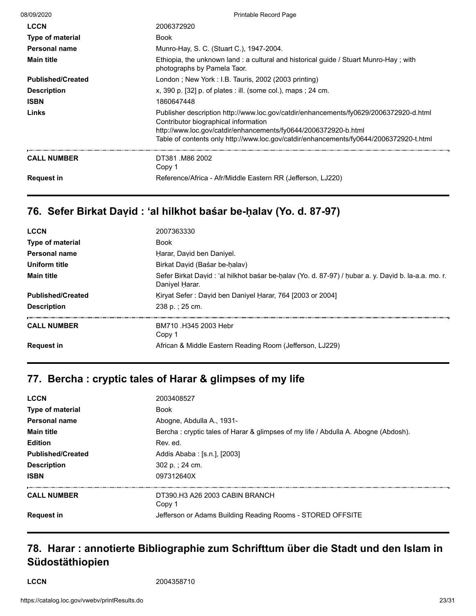| 08/09/2020               | Printable Record Page                                                                                                                                                                                                                                                                      |
|--------------------------|--------------------------------------------------------------------------------------------------------------------------------------------------------------------------------------------------------------------------------------------------------------------------------------------|
| <b>LCCN</b>              | 2006372920                                                                                                                                                                                                                                                                                 |
| <b>Type of material</b>  | <b>Book</b>                                                                                                                                                                                                                                                                                |
| Personal name            | Munro-Hay, S. C. (Stuart C.), 1947-2004.                                                                                                                                                                                                                                                   |
| <b>Main title</b>        | Ethiopia, the unknown land: a cultural and historical guide / Stuart Munro-Hay; with<br>photographs by Pamela Taor.                                                                                                                                                                        |
| <b>Published/Created</b> | London; New York: I.B. Tauris, 2002 (2003 printing)                                                                                                                                                                                                                                        |
| <b>Description</b>       | x, 390 p. $[32]$ p. of plates : ill. (some col.), maps ; 24 cm.                                                                                                                                                                                                                            |
| <b>ISBN</b>              | 1860647448                                                                                                                                                                                                                                                                                 |
| Links                    | Publisher description http://www.loc.gov/catdir/enhancements/fy0629/2006372920-d.html<br>Contributor biographical information<br>http://www.loc.gov/catdir/enhancements/fy0644/2006372920-b.html<br>Table of contents only http://www.loc.gov/catdir/enhancements/fy0644/2006372920-t.html |
| <b>CALL NUMBER</b>       | DT381 M86 2002<br>Copy 1                                                                                                                                                                                                                                                                   |
| <b>Request in</b>        | Reference/Africa - Afr/Middle Eastern RR (Jefferson, LJ220)                                                                                                                                                                                                                                |

# **76. Sefer Birkat Daṿid : ʻal hilkhot baśar be-ḥalav (Yo. d. 87-97)**

| <b>LCCN</b>              | 2007363330                                                                                                             |
|--------------------------|------------------------------------------------------------------------------------------------------------------------|
| <b>Type of material</b>  | Book                                                                                                                   |
| Personal name            | Harar, David ben Daniyel.                                                                                              |
| Uniform title            | Birkat David (Basar be-halav)                                                                                          |
| <b>Main title</b>        | Sefer Birkat David : 'al hilkhot basar be-halav (Yo. d. 87-97) / hubar a. y. David b. la-a.a. mo. r.<br>Daniyel Harar. |
| <b>Published/Created</b> | Kiryat Sefer: David ben Daniyel Harar, 764 [2003 or 2004]                                                              |
| <b>Description</b>       | 238 p.: 25 cm.                                                                                                         |
| <b>CALL NUMBER</b>       | BM710 H345 2003 Hebr<br>Copy 1                                                                                         |
| <b>Request in</b>        | African & Middle Eastern Reading Room (Jefferson, LJ229)                                                               |

#### **77. Bercha : cryptic tales of Harar & glimpses of my life**

| <b>LCCN</b>              | 2003408527                                                                         |
|--------------------------|------------------------------------------------------------------------------------|
| <b>Type of material</b>  | <b>Book</b>                                                                        |
| Personal name            | Abogne, Abdulla A., 1931-                                                          |
| <b>Main title</b>        | Bercha: cryptic tales of Harar & glimpses of my life / Abdulla A. Abogne (Abdosh). |
| <b>Edition</b>           | Rev. ed.                                                                           |
| <b>Published/Created</b> | Addis Ababa : [s.n.], [2003]                                                       |
| <b>Description</b>       | 302 p. : 24 cm.                                                                    |
| <b>ISBN</b>              | 097312640X                                                                         |
| <b>CALL NUMBER</b>       | DT390 H3 A26 2003 CABIN BRANCH<br>Copy 1                                           |
| <b>Request in</b>        | Jefferson or Adams Building Reading Rooms - STORED OFFSITE                         |

## **78. Harar : annotierte Bibliographie zum Schrifttum über die Stadt und den Islam in Südostäthiopien**

**LCCN** 2004358710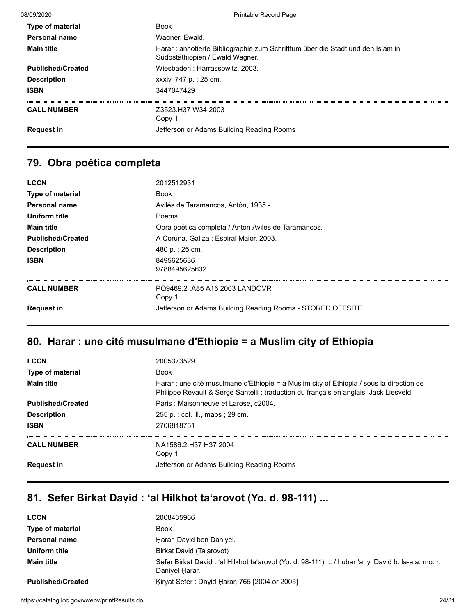| 08/09/2020               | <b>Printable Record Page</b>                                                                                       |
|--------------------------|--------------------------------------------------------------------------------------------------------------------|
| <b>Type of material</b>  | <b>Book</b>                                                                                                        |
| Personal name            | Wagner, Ewald.                                                                                                     |
| <b>Main title</b>        | Harar : annotierte Bibliographie zum Schrifttum über die Stadt und den Islam in<br>Südostäthiopien / Ewald Wagner. |
| <b>Published/Created</b> | Wiesbaden: Harrassowitz, 2003.                                                                                     |
| <b>Description</b>       | xxxiv, 747 p.; 25 cm.                                                                                              |
| <b>ISBN</b>              | 3447047429                                                                                                         |
| <b>CALL NUMBER</b>       | Z3523.H37 W34 2003<br>Copy 1                                                                                       |
| <b>Request in</b>        | Jefferson or Adams Building Reading Rooms                                                                          |
|                          |                                                                                                                    |

#### **79. Obra poética completa**

| <b>LCCN</b>              | 2012512931                                                 |
|--------------------------|------------------------------------------------------------|
| <b>Type of material</b>  | <b>Book</b>                                                |
| Personal name            | Avilés de Taramancos, Antón, 1935 -                        |
| Uniform title            | Poems                                                      |
| <b>Main title</b>        | Obra poética completa / Anton Aviles de Taramancos.        |
| <b>Published/Created</b> | A Coruna, Galiza: Espiral Maior, 2003.                     |
| <b>Description</b>       | 480 p.; 25 cm.                                             |
| <b>ISBN</b>              | 8495625636<br>9788495625632                                |
| <b>CALL NUMBER</b>       | PQ9469.2. A85 A16 2003 LANDOVR<br>Copy 1                   |
| <b>Request in</b>        | Jefferson or Adams Building Reading Rooms - STORED OFFSITE |

#### **80. Harar : une cité musulmane d'Ethiopie = a Muslim city of Ethiopia**

| <b>LCCN</b>              | 2005373529                                                                                                                                                                        |
|--------------------------|-----------------------------------------------------------------------------------------------------------------------------------------------------------------------------------|
| Type of material         | <b>Book</b>                                                                                                                                                                       |
| <b>Main title</b>        | Harar : une cité musulmane d'Ethiopie = a Muslim city of Ethiopia / sous la direction de<br>Philippe Revault & Serge Santelli ; traduction du français en anglais, Jack Liesveld. |
| <b>Published/Created</b> | Paris: Maisonneuve et Larose, c2004.                                                                                                                                              |
| <b>Description</b>       | 255 p. : col. ill., maps ; 29 cm.                                                                                                                                                 |
| <b>ISBN</b>              | 2706818751                                                                                                                                                                        |
| <b>CALL NUMBER</b>       | NA1586 2 H37 H37 2004<br>Copy 1                                                                                                                                                   |
| <b>Request in</b>        | Jefferson or Adams Building Reading Rooms                                                                                                                                         |

# **81. Sefer Birkat Daṿid : ʻal Hilkhot taʻarovot (Yo. d. 98-111) ...**

| <b>LCCN</b>              | 2008435966                                                                                                           |
|--------------------------|----------------------------------------------------------------------------------------------------------------------|
| <b>Type of material</b>  | <b>Book</b>                                                                                                          |
| <b>Personal name</b>     | Harar, David ben Daniyel.                                                                                            |
| Uniform title            | Birkat David (Ta'arovot)                                                                                             |
| <b>Main title</b>        | Sefer Birkat David : 'al Hilkhot ta'arovot (Yo. d. 98-111)  / hubar 'a. y. David b. la-a.a. mo. r.<br>Daniyel Harar. |
| <b>Published/Created</b> | Kiryat Sefer: David Harar, 765 [2004 or 2005]                                                                        |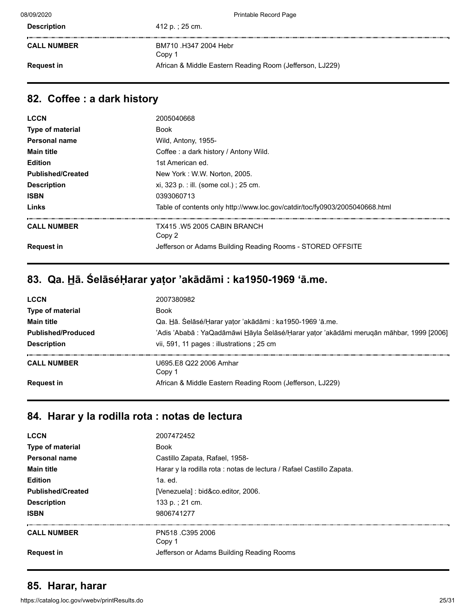| <b>Description</b> | 412 p. ; 25 cm.                                          |
|--------------------|----------------------------------------------------------|
|                    |                                                          |
| <b>CALL NUMBER</b> | BM710 .H347 2004 Hebr                                    |
|                    | Copy 1                                                   |
| <b>Request in</b>  | African & Middle Eastern Reading Room (Jefferson, LJ229) |
|                    |                                                          |

#### **82. Coffee : a dark history**

| <b>LCCN</b>              | 2005040668                                                                  |
|--------------------------|-----------------------------------------------------------------------------|
| <b>Type of material</b>  | Book                                                                        |
| Personal name            | Wild, Antony, 1955-                                                         |
| <b>Main title</b>        | Coffee: a dark history / Antony Wild.                                       |
| <b>Edition</b>           | 1st American ed.                                                            |
| <b>Published/Created</b> | New York: W.W. Norton, 2005.                                                |
| <b>Description</b>       | xi, 323 p. : ill. (some col.) ; 25 cm.                                      |
| <b>ISBN</b>              | 0393060713                                                                  |
| Links                    | Table of contents only http://www.loc.gov/catdir/toc/fy0903/2005040668.html |
| <b>CALL NUMBER</b>       | TX415 .W5 2005 CABIN BRANCH<br>Copy 2                                       |
| <b>Request in</b>        | Jefferson or Adams Building Reading Rooms - STORED OFFSITE                  |

# **83. Qa. H̲ā. ŚelāséḤarar yaṭor 'akādāmi : ka1950-1969 ʻā.me.**

| <b>LCCN</b>               | 2007380982                                                                              |
|---------------------------|-----------------------------------------------------------------------------------------|
| Type of material          | <b>Book</b>                                                                             |
| <b>Main title</b>         | Qa. Hā. Śelāsé/Harar yator 'akādāmi : ka1950-1969 'ā.me.                                |
| <b>Published/Produced</b> | 'Adis 'Ababā : YaQadāmāwi Hāyla Śelāsé/Ḥarar yator 'akādāmi meruqān māhbar, 1999 [2006] |
| <b>Description</b>        | vii, 591, 11 pages : illustrations ; 25 cm                                              |
| <b>CALL NUMBER</b>        | U695.E8 Q22 2006 Amhar<br>Copy 1                                                        |
| <b>Request in</b>         | African & Middle Eastern Reading Room (Jefferson, LJ229)                                |

#### **84. Harar y la rodilla rota : notas de lectura**

| <b>LCCN</b>              | 2007472452                                                           |
|--------------------------|----------------------------------------------------------------------|
| Type of material         | <b>Book</b>                                                          |
| <b>Personal name</b>     | Castillo Zapata, Rafael, 1958-                                       |
| <b>Main title</b>        | Harar y la rodilla rota : notas de lectura / Rafael Castillo Zapata. |
| <b>Edition</b>           | $1a.$ ed.                                                            |
| <b>Published/Created</b> | [Venezuela] : bid&co.editor, 2006.                                   |
| <b>Description</b>       | 133 p.: 21 cm.                                                       |
| <b>ISBN</b>              | 9806741277                                                           |
| <b>CALL NUMBER</b>       | PN518 .C395 2006<br>Copy 1                                           |
| <b>Request in</b>        | Jefferson or Adams Building Reading Rooms                            |

#### **85. Harar, harar**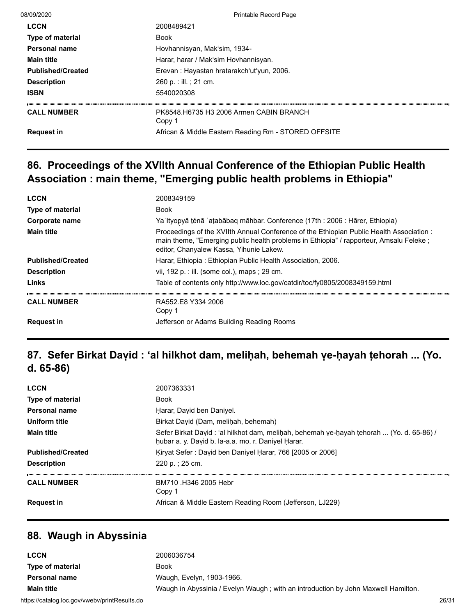| 08/09/2020               | <b>Printable Record Page</b>                         |
|--------------------------|------------------------------------------------------|
| <b>LCCN</b>              | 2008489421                                           |
| <b>Type of material</b>  | <b>Book</b>                                          |
| Personal name            | Hovhannisyan, Mak'sim, 1934-                         |
| <b>Main title</b>        | Harar, harar / Mak'sim Hovhannisyan.                 |
| <b>Published/Created</b> | Erevan: Hayastan hratarakch'ut'yun, 2006.            |
| <b>Description</b>       | 260 p. : ill. ; 21 cm.                               |
| <b>ISBN</b>              | 5540020308                                           |
| <b>CALL NUMBER</b>       | PK8548.H6735 H3 2006 Armen CABIN BRANCH<br>Copy 1    |
| <b>Request in</b>        | African & Middle Eastern Reading Rm - STORED OFFSITE |

## **86. Proceedings of the XVIIth Annual Conference of the Ethiopian Public Health Association : main theme, "Emerging public health problems in Ethiopia"**

| <b>LCCN</b>              | 2008349159                                                                                                                                                                                                                   |
|--------------------------|------------------------------------------------------------------------------------------------------------------------------------------------------------------------------------------------------------------------------|
| <b>Type of material</b>  | <b>Book</b>                                                                                                                                                                                                                  |
| Corporate name           | Ya Ityopyā ténā 'aṭabābaq māhbar. Conference (17th : 2006 : Hārer, Ethiopia)                                                                                                                                                 |
| <b>Main title</b>        | Proceedings of the XVIIth Annual Conference of the Ethiopian Public Health Association:<br>main theme, "Emerging public health problems in Ethiopia" / rapporteur, Amsalu Feleke;<br>editor, Chanyalew Kassa, Yihunie Lakew. |
| <b>Published/Created</b> | Harar, Ethiopia: Ethiopian Public Health Association, 2006.                                                                                                                                                                  |
| <b>Description</b>       | vii, 192 p. : ill. (some col.), maps ; 29 cm.                                                                                                                                                                                |
| Links                    | Table of contents only http://www.loc.gov/catdir/toc/fy0805/2008349159.html                                                                                                                                                  |
| <b>CALL NUMBER</b>       | RA552 F8 Y334 2006<br>Copy 1                                                                                                                                                                                                 |
| <b>Request in</b>        | Jefferson or Adams Building Reading Rooms                                                                                                                                                                                    |

# **87. Sefer Birkat Daṿid : ʻal hilkhot dam, meliḥah, behemah ṿe-ḥayah ṭehorah ... (Yo. d. 65-86)**

| <b>LCCN</b>              | 2007363331                                                                                                                                      |
|--------------------------|-------------------------------------------------------------------------------------------------------------------------------------------------|
| <b>Type of material</b>  | <b>Book</b>                                                                                                                                     |
| Personal name            | Harar, David ben Daniyel.                                                                                                                       |
| Uniform title            | Birkat David (Dam, melihah, behemah)                                                                                                            |
| <b>Main title</b>        | Sefer Birkat David : 'al hilkhot dam, melihah, behemah ve-hayah tehorah  (Yo. d. 65-86) /<br>hubar a. y. David b. la-a.a. mo. r. Daniyel Harar. |
| <b>Published/Created</b> | Kirvat Sefer: David ben Daniyel Harar, 766 [2005 or 2006]                                                                                       |
| <b>Description</b>       | 220 p. : 25 cm.                                                                                                                                 |
| <b>CALL NUMBER</b>       | BM710 H346 2005 Hebr<br>Copy 1                                                                                                                  |
| <b>Request in</b>        | African & Middle Eastern Reading Room (Jefferson, LJ229)                                                                                        |

#### **88. Waugh in Abyssinia**

| LCCN                                          | 2006036754                                                                         |       |
|-----------------------------------------------|------------------------------------------------------------------------------------|-------|
| <b>Type of material</b>                       | Book                                                                               |       |
| <b>Personal name</b>                          | Waugh, Evelyn, 1903-1966.                                                          |       |
| <b>Main title</b>                             | Waugh in Abyssinia / Evelyn Waugh ; with an introduction by John Maxwell Hamilton. |       |
| https://catalog.loc.gov/vwebv/printResults.do |                                                                                    | 26/31 |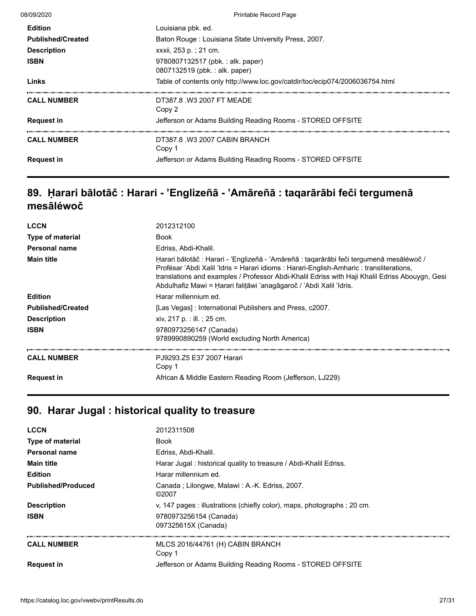| 08/09/2020               | <b>Printable Record Page</b>                                                 |
|--------------------------|------------------------------------------------------------------------------|
| <b>Edition</b>           | Louisiana pbk. ed.                                                           |
| <b>Published/Created</b> | Baton Rouge: Louisiana State University Press, 2007.                         |
| <b>Description</b>       | xxxii, 253 p.; 21 cm.                                                        |
| <b>ISBN</b>              | 9780807132517 (pbk.: alk. paper)<br>0807132519 (pbk.: alk. paper)            |
| Links                    | Table of contents only http://www.loc.gov/catdir/toc/ecip074/2006036754.html |
| <b>CALL NUMBER</b>       | DT387.8 W3 2007 FT MEADE<br>Copy 2                                           |
| <b>Request in</b>        | Jefferson or Adams Building Reading Rooms - STORED OFFSITE                   |
| <b>CALL NUMBER</b>       | DT387.8 W3 2007 CABIN BRANCH<br>Copy 1                                       |
| <b>Request in</b>        | Jefferson or Adams Building Reading Rooms - STORED OFFSITE                   |
|                          |                                                                              |

## **89. Ḥarari bālotāč : Harari - 'Englizeñā - 'Amāreñā : taqarārābi feči tergumenā mesāléwoč**

| <b>LCCN</b>              | 2012312100                                                                                                                                                                                                                                                                                                                                                   |
|--------------------------|--------------------------------------------------------------------------------------------------------------------------------------------------------------------------------------------------------------------------------------------------------------------------------------------------------------------------------------------------------------|
| Type of material         | <b>Book</b>                                                                                                                                                                                                                                                                                                                                                  |
| Personal name            | Edriss, Abdi-Khalil.                                                                                                                                                                                                                                                                                                                                         |
| <b>Main title</b>        | Harari bālotāč : Harari - 'Englizeñā - 'Amāreñā : tagarārābi feči tergumenā mesāléwoč /<br>Profésar 'Abdi Xalil 'Idris = Harari idioms : Harari-English-Amharic : transliterations,<br>translations and examples / Professor Abdi-Khalil Edriss with Haji Khalil Edriss Abouygn, Gesi<br>Abdulhafiz Mawi = Harari falitāwi 'anagāgaroč / 'Abdi Xalil 'Idris. |
| <b>Edition</b>           | Harar millennium ed.                                                                                                                                                                                                                                                                                                                                         |
| <b>Published/Created</b> | [Las Vegas]: International Publishers and Press, c2007.                                                                                                                                                                                                                                                                                                      |
| <b>Description</b>       | xiv, 217 p. : ill. ; 25 cm.                                                                                                                                                                                                                                                                                                                                  |
| <b>ISBN</b>              | 9780973256147 (Canada)<br>9789990890259 (World excluding North America)                                                                                                                                                                                                                                                                                      |
| <b>CALL NUMBER</b>       | PJ9293.Z5 E37 2007 Harari<br>Copy 1                                                                                                                                                                                                                                                                                                                          |
| <b>Request in</b>        | African & Middle Eastern Reading Room (Jefferson, LJ229)                                                                                                                                                                                                                                                                                                     |

# **90. Harar Jugal : historical quality to treasure**

| <b>LCCN</b>               | 2012311508                                                               |
|---------------------------|--------------------------------------------------------------------------|
| <b>Type of material</b>   | Book                                                                     |
| Personal name             | Edriss, Abdi-Khalil.                                                     |
| <b>Main title</b>         | Harar Jugal: historical quality to treasure / Abdi-Khalil Edriss.        |
| <b>Edition</b>            | Harar millennium ed.                                                     |
| <b>Published/Produced</b> | Canada ; Lilongwe, Malawi : A.-K. Edriss, 2007.<br>©2007                 |
| <b>Description</b>        | v, 147 pages : illustrations (chiefly color), maps, photographs ; 20 cm. |
| <b>ISBN</b>               | 9780973256154 (Canada)<br>097325615X (Canada)                            |
| <b>CALL NUMBER</b>        | MLCS 2016/44761 (H) CABIN BRANCH<br>Copy 1                               |
| <b>Request in</b>         | Jefferson or Adams Building Reading Rooms - STORED OFFSITE               |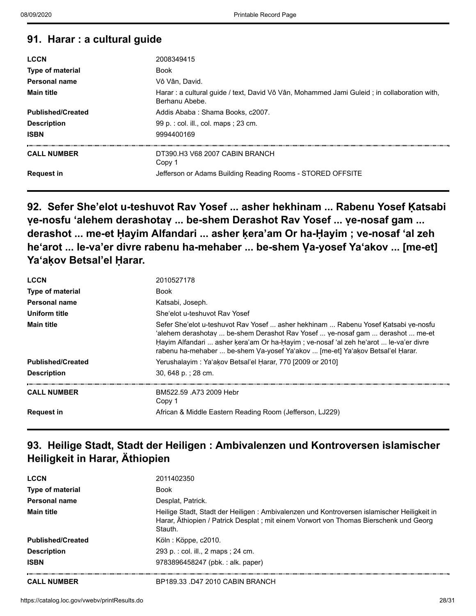#### **91. Harar : a cultural guide**

| <b>LCCN</b>              | 2008349415                                                                                                     |
|--------------------------|----------------------------------------------------------------------------------------------------------------|
| <b>Type of material</b>  | <b>Book</b>                                                                                                    |
| Personal name            | Vô Vân. David.                                                                                                 |
| <b>Main title</b>        | Harar : a cultural quide / text, David Vô Vân, Mohammed Jami Guleid ; in collaboration with,<br>Berhanu Abebe. |
| <b>Published/Created</b> | Addis Ababa: Shama Books, c2007.                                                                               |
| <b>Description</b>       | 99 p. : col. ill., col. maps : 23 cm.                                                                          |
| <b>ISBN</b>              | 9994400169                                                                                                     |
| <b>CALL NUMBER</b>       | DT390 H3 V68 2007 CABIN BRANCH<br>Copy 1                                                                       |
| <b>Request in</b>        | Jefferson or Adams Building Reading Rooms - STORED OFFSITE                                                     |

**92. Sefer She'elot u-teshuvot Rav Yosef ... asher hekhinam ... Rabenu Yosef Ḳatsabi** ve-nosfu 'alehem derashotay ... be-shem Derashot Rav Yosef ... ye-nosaf gam ... **derashot ... me-et Ḥayim Alfandari ... asher ḳera'am Or ha-Ḥayim ; ve-nosaf ʻal zeh** he'arot ... le-va'er divre rabenu ha-mehaber ... be-shem Va-yosef Ya'akov ... [me-et] **Yaʻaḳov Betsal'el Ḥarar.**

| <b>LCCN</b>              | 2010527178                                                                                                                                                                                                                                                                                                                                   |
|--------------------------|----------------------------------------------------------------------------------------------------------------------------------------------------------------------------------------------------------------------------------------------------------------------------------------------------------------------------------------------|
| <b>Type of material</b>  | <b>Book</b>                                                                                                                                                                                                                                                                                                                                  |
| Personal name            | Katsabi, Joseph.                                                                                                                                                                                                                                                                                                                             |
| Uniform title            | She'elot u-teshuvot Ray Yosef                                                                                                                                                                                                                                                                                                                |
| <b>Main title</b>        | Sefer She'elot u-teshuvot Rav Yosef  asher hekhinam  Rabenu Yosef Katsabi ve-nosfu<br>'alehem derashotav  be-shem Derashot Rav Yosef  ve-nosaf qam  derashot  me-et<br>Hayim Alfandari  asher kera'am Or ha-Hayim; ve-nosaf 'al zeh he'arot  le-va'er divre<br>rabenu ha-mehaber  be-shem Va-yosef Ya'akov  [me-et] Ya'akov Betsal'el Harar. |
| <b>Published/Created</b> | Yerushalayim : Ya'akov Betsal'el Harar, 770 [2009 or 2010]                                                                                                                                                                                                                                                                                   |
| <b>Description</b>       | 30, 648 p.; 28 cm.                                                                                                                                                                                                                                                                                                                           |
| <b>CALL NUMBER</b>       | BM522.59 A73 2009 Hebr<br>Copy 1                                                                                                                                                                                                                                                                                                             |
| <b>Request in</b>        | African & Middle Eastern Reading Room (Jefferson, LJ229)                                                                                                                                                                                                                                                                                     |

### **93. Heilige Stadt, Stadt der Heiligen : Ambivalenzen und Kontroversen islamischer Heiligkeit in Harar, Äthiopien**

| <b>LCCN</b>              | 2011402350                                                                                                                                                                                       |
|--------------------------|--------------------------------------------------------------------------------------------------------------------------------------------------------------------------------------------------|
| Type of material         | <b>Book</b>                                                                                                                                                                                      |
| Personal name            | Desplat, Patrick.                                                                                                                                                                                |
| <b>Main title</b>        | Heilige Stadt, Stadt der Heiligen : Ambivalenzen und Kontroversen islamischer Heiligkeit in<br>Harar, Äthiopien / Patrick Desplat ; mit einem Vorwort von Thomas Bierschenk und Georg<br>Stauth. |
| <b>Published/Created</b> | Köln : Köppe, c2010.                                                                                                                                                                             |
| <b>Description</b>       | 293 p. : col. ill., 2 maps ; 24 cm.                                                                                                                                                              |
| <b>ISBN</b>              | 9783896458247 (pbk.: alk. paper)                                                                                                                                                                 |
| <b>CALL NUMBER</b>       | BP189.33 .D47 2010 CABIN BRANCH                                                                                                                                                                  |

mang.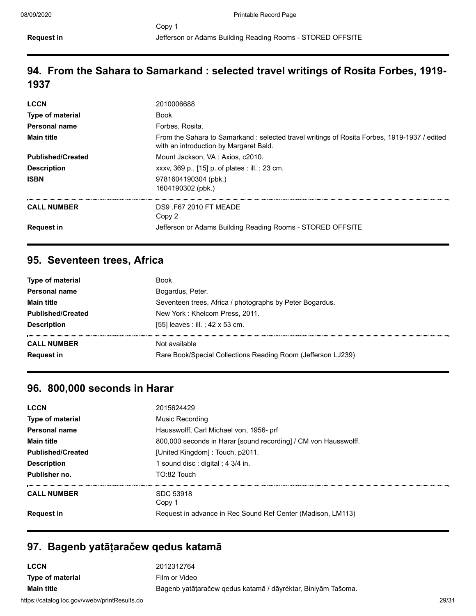## **94. From the Sahara to Samarkand : selected travel writings of Rosita Forbes, 1919- 1937**

| <b>LCCN</b>              | 2010006688                                                                                                                            |
|--------------------------|---------------------------------------------------------------------------------------------------------------------------------------|
| <b>Type of material</b>  | <b>Book</b>                                                                                                                           |
| Personal name            | Forbes, Rosita.                                                                                                                       |
| <b>Main title</b>        | From the Sahara to Samarkand: selected travel writings of Rosita Forbes, 1919-1937 / edited<br>with an introduction by Margaret Bald. |
| <b>Published/Created</b> | Mount Jackson, VA : Axios, c2010.                                                                                                     |
| <b>Description</b>       | xxxv, 369 p., [15] p. of plates : ill.; 23 cm.                                                                                        |
| <b>ISBN</b>              | 9781604190304 (pbk.)<br>1604190302 (pbk.)                                                                                             |
| <b>CALL NUMBER</b>       | DS9 F67 2010 FT MEADE<br>Copy 2                                                                                                       |
| <b>Request in</b>        | Jefferson or Adams Building Reading Rooms - STORED OFFSITE                                                                            |

#### **95. Seventeen trees, Africa**

| <b>Book</b>                                                  |
|--------------------------------------------------------------|
| Bogardus, Peter.                                             |
| Seventeen trees, Africa / photographs by Peter Bogardus.     |
| New York: Khelcom Press, 2011.                               |
| [55] leaves : ill. ; 42 x 53 cm.                             |
| Not available                                                |
| Rare Book/Special Collections Reading Room (Jefferson LJ239) |
|                                                              |

#### **96. 800,000 seconds in Harar**

| <b>LCCN</b>              | 2015624429                                                      |
|--------------------------|-----------------------------------------------------------------|
| Type of material         | Music Recording                                                 |
| Personal name            | Hausswolff, Carl Michael von, 1956- prf                         |
| <b>Main title</b>        | 800,000 seconds in Harar [sound recording] / CM von Hausswolff. |
| <b>Published/Created</b> | [United Kingdom]: Touch, p2011.                                 |
| <b>Description</b>       | 1 sound disc : digital ; $4 \frac{3}{4}$ in.                    |
| Publisher no.            | TO:82 Touch                                                     |
| <b>CALL NUMBER</b>       | SDC 53918<br>Copy 1                                             |
| <b>Request in</b>        | Request in advance in Rec Sound Ref Center (Madison, LM113)     |

#### **97. Bagenb yatāṭaračew qedus katamā**

| LCCN                                          | 2012312764                                                   |       |
|-----------------------------------------------|--------------------------------------------------------------|-------|
| Type of material                              | Film or Video                                                |       |
| <b>Main title</b>                             | Bagenb yatātaračew gedus katamā / dāyréktar, Biniyām Tašoma. |       |
| https://catalog.loc.gov/vwebv/printResults.do |                                                              | 29/31 |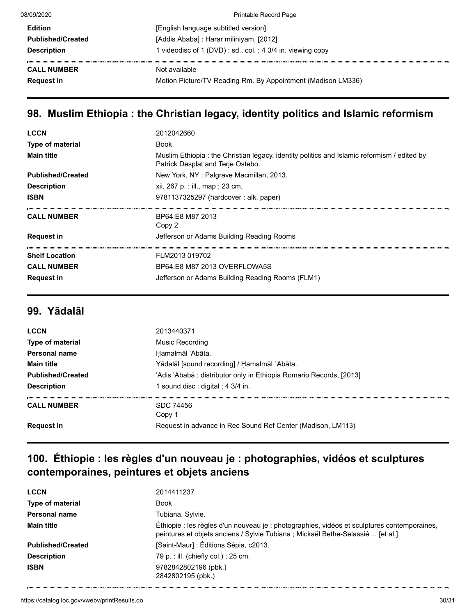| 08/09/2020               | <b>Printable Record Page</b>                                 |
|--------------------------|--------------------------------------------------------------|
| <b>Edition</b>           | [English language subtitled version].                        |
| <b>Published/Created</b> | [Addis Ababa] : Harar miliniyam, [2012]                      |
| <b>Description</b>       | 1 videodisc of 1 (DVD) : sd., col. ; 4 3/4 in. viewing copy  |
| <b>CALL NUMBER</b>       | Not available                                                |
| <b>Request in</b>        | Motion Picture/TV Reading Rm. By Appointment (Madison LM336) |
|                          |                                                              |

# **98. Muslim Ethiopia : the Christian legacy, identity politics and Islamic reformism**

| <b>LCCN</b>              | 2012042660                                                                                                                       |
|--------------------------|----------------------------------------------------------------------------------------------------------------------------------|
| Type of material         | <b>Book</b>                                                                                                                      |
| <b>Main title</b>        | Muslim Ethiopia : the Christian legacy, identity politics and Islamic reformism / edited by<br>Patrick Desplat and Terje Ostebo. |
| <b>Published/Created</b> | New York, NY: Palgrave Macmillan, 2013.                                                                                          |
| <b>Description</b>       | xii, 267 p. : ill., map ; 23 cm.                                                                                                 |
| <b>ISBN</b>              | 9781137325297 (hardcover: alk. paper)                                                                                            |
|                          |                                                                                                                                  |
| <b>CALL NUMBER</b>       | BP64.E8 M87 2013<br>Copy 2                                                                                                       |
| <b>Request in</b>        | Jefferson or Adams Building Reading Rooms                                                                                        |
| <b>Shelf Location</b>    | FLM2013 019702                                                                                                                   |
| <b>CALL NUMBER</b>       | BP64.E8 M87 2013 OVERFLOWA5S                                                                                                     |

#### **99. Yādalāl**

| <b>LCCN</b>              | 2013440371                                                          |
|--------------------------|---------------------------------------------------------------------|
| <b>Type of material</b>  | Music Recording                                                     |
| Personal name            | Hamalmāl 'Abāta.                                                    |
| <b>Main title</b>        | Yādalāl [sound recording] / Hamalmāl 'Abāta.                        |
| <b>Published/Created</b> | 'Adis 'Ababā : distributor only in Ethiopia Romario Records, [2013] |
| <b>Description</b>       | 1 sound disc : digital ; 4 3/4 in.                                  |
| <b>CALL NUMBER</b>       | SDC 74456<br>Copy 1                                                 |
| <b>Request in</b>        | Request in advance in Rec Sound Ref Center (Madison, LM113)         |
|                          |                                                                     |

## **100. Éthiopie : les règles d'un nouveau je : photographies, vidéos et sculptures contemporaines, peintures et objets anciens**

| <b>LCCN</b>              | 2014411237                                                                                                                                                                      |
|--------------------------|---------------------------------------------------------------------------------------------------------------------------------------------------------------------------------|
| <b>Type of material</b>  | <b>Book</b>                                                                                                                                                                     |
| Personal name            | Tubiana, Sylvie.                                                                                                                                                                |
| <b>Main title</b>        | Éthiopie : les règles d'un nouveau je : photographies, vidéos et sculptures contemporaines,<br>peintures et objets anciens / Sylvie Tubiana ; Mickaël Bethe-Selassié  [et al.]. |
| <b>Published/Created</b> | [Saint-Maur] : Éditions Sépia, c2013.                                                                                                                                           |
| <b>Description</b>       | 79 p. : ill. (chiefly col.) ; 25 cm.                                                                                                                                            |
| <b>ISBN</b>              | 9782842802196 (pbk.)<br>2842802195 (pbk.)                                                                                                                                       |